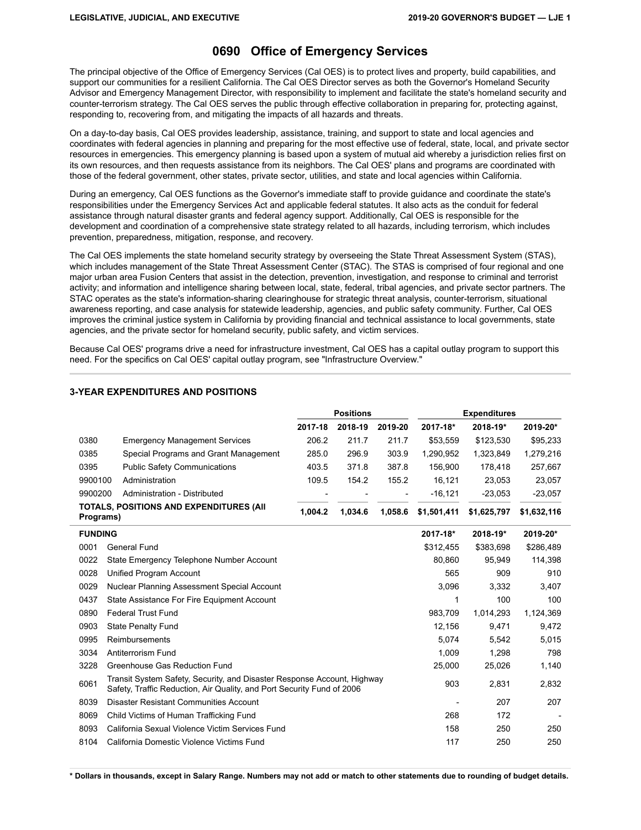## **0690 Office of Emergency Services**

The principal objective of the Office of Emergency Services (Cal OES) is to protect lives and property, build capabilities, and support our communities for a resilient California. The Cal OES Director serves as both the Governor's Homeland Security Advisor and Emergency Management Director, with responsibility to implement and facilitate the state's homeland security and counter-terrorism strategy. The Cal OES serves the public through effective collaboration in preparing for, protecting against, responding to, recovering from, and mitigating the impacts of all hazards and threats.

On a day-to-day basis, Cal OES provides leadership, assistance, training, and support to state and local agencies and coordinates with federal agencies in planning and preparing for the most effective use of federal, state, local, and private sector resources in emergencies. This emergency planning is based upon a system of mutual aid whereby a jurisdiction relies first on its own resources, and then requests assistance from its neighbors. The Cal OES' plans and programs are coordinated with those of the federal government, other states, private sector, utilities, and state and local agencies within California.

During an emergency, Cal OES functions as the Governor's immediate staff to provide guidance and coordinate the state's responsibilities under the Emergency Services Act and applicable federal statutes. It also acts as the conduit for federal assistance through natural disaster grants and federal agency support. Additionally, Cal OES is responsible for the development and coordination of a comprehensive state strategy related to all hazards, including terrorism, which includes prevention, preparedness, mitigation, response, and recovery.

The Cal OES implements the state homeland security strategy by overseeing the State Threat Assessment System (STAS), which includes management of the State Threat Assessment Center (STAC). The STAS is comprised of four regional and one major urban area Fusion Centers that assist in the detection, prevention, investigation, and response to criminal and terrorist activity; and information and intelligence sharing between local, state, federal, tribal agencies, and private sector partners. The STAC operates as the state's information-sharing clearinghouse for strategic threat analysis, counter-terrorism, situational awareness reporting, and case analysis for statewide leadership, agencies, and public safety community. Further, Cal OES improves the criminal justice system in California by providing financial and technical assistance to local governments, state agencies, and the private sector for homeland security, public safety, and victim services.

Because Cal OES' programs drive a need for infrastructure investment, Cal OES has a capital outlay program to support this need. For the specifics on Cal OES' capital outlay program, see "Infrastructure Overview."

|                |                                                                                                                                                   | <b>Positions</b> |         |         |             | <b>Expenditures</b> |             |
|----------------|---------------------------------------------------------------------------------------------------------------------------------------------------|------------------|---------|---------|-------------|---------------------|-------------|
|                |                                                                                                                                                   | 2017-18          | 2018-19 | 2019-20 | 2017-18*    | 2018-19*            | 2019-20*    |
| 0380           | <b>Emergency Management Services</b>                                                                                                              | 206.2            | 211.7   | 211.7   | \$53,559    | \$123,530           | \$95,233    |
| 0385           | Special Programs and Grant Management                                                                                                             | 285.0            | 296.9   | 303.9   | 1.290.952   | 1.323.849           | 1,279,216   |
| 0395           | <b>Public Safety Communications</b>                                                                                                               | 403.5            | 371.8   | 387.8   | 156,900     | 178,418             | 257,667     |
| 9900100        | Administration                                                                                                                                    | 109.5            | 154.2   | 155.2   | 16,121      | 23,053              | 23,057      |
| 9900200        | Administration - Distributed                                                                                                                      |                  |         |         | $-16, 121$  | $-23,053$           | $-23,057$   |
| Programs)      | <b>TOTALS, POSITIONS AND EXPENDITURES (AII</b>                                                                                                    | 1,004.2          | 1,034.6 | 1.058.6 | \$1,501,411 | \$1,625,797         | \$1,632,116 |
| <b>FUNDING</b> |                                                                                                                                                   |                  |         |         | 2017-18*    | 2018-19*            | 2019-20*    |
| 0001           | General Fund                                                                                                                                      |                  |         |         | \$312,455   | \$383,698           | \$286,489   |
| 0022           | State Emergency Telephone Number Account                                                                                                          |                  |         | 80,860  | 95,949      | 114,398             |             |
| 0028           | Unified Program Account                                                                                                                           |                  |         |         | 565         | 909                 | 910         |
| 0029           | Nuclear Planning Assessment Special Account                                                                                                       |                  |         |         | 3,096       | 3.332               | 3.407       |
| 0437           | State Assistance For Fire Equipment Account                                                                                                       |                  |         |         | 1           | 100                 | 100         |
| 0890           | <b>Federal Trust Fund</b>                                                                                                                         |                  |         |         | 983,709     | 1,014,293           | 1,124,369   |
| 0903           | <b>State Penalty Fund</b>                                                                                                                         |                  |         |         | 12,156      | 9,471               | 9,472       |
| 0995           | Reimbursements                                                                                                                                    |                  |         |         | 5,074       | 5,542               | 5,015       |
| 3034           | Antiterrorism Fund                                                                                                                                |                  |         |         | 1,009       | 1,298               | 798         |
| 3228           | Greenhouse Gas Reduction Fund                                                                                                                     |                  |         |         | 25,000      | 25,026              | 1,140       |
| 6061           | Transit System Safety, Security, and Disaster Response Account, Highway<br>Safety, Traffic Reduction, Air Quality, and Port Security Fund of 2006 |                  |         | 903     | 2,831       | 2,832               |             |
| 8039           | <b>Disaster Resistant Communities Account</b>                                                                                                     |                  |         |         |             | 207                 | 207         |
| 8069           | Child Victims of Human Trafficking Fund                                                                                                           |                  |         |         | 268         | 172                 |             |
| 8093           | California Sexual Violence Victim Services Fund                                                                                                   |                  |         |         | 158         | 250                 | 250         |
| 8104           | California Domestic Violence Victims Fund                                                                                                         |                  |         |         | 117         | 250                 | 250         |

### **3-YEAR EXPENDITURES AND POSITIONS**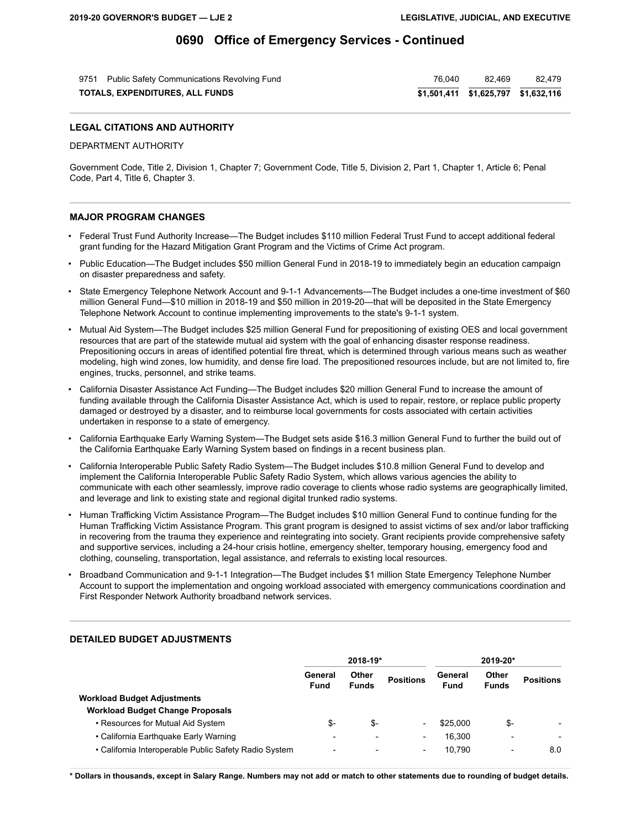| 9751 Public Safety Communications Revolving Fund | 76.040 | 82.469 | 82.479 |
|--------------------------------------------------|--------|--------|--------|
| TOTALS, EXPENDITURES, ALL FUNDS                  |        |        |        |

#### **LEGAL CITATIONS AND AUTHORITY**

DEPARTMENT AUTHORITY

Government Code, Title 2, Division 1, Chapter 7; Government Code, Title 5, Division 2, Part 1, Chapter 1, Article 6; Penal Code, Part 4, Title 6, Chapter 3.

#### **MAJOR PROGRAM CHANGES**

- Federal Trust Fund Authority Increase—The Budget includes \$110 million Federal Trust Fund to accept additional federal grant funding for the Hazard Mitigation Grant Program and the Victims of Crime Act program.
- Public Education—The Budget includes \$50 million General Fund in 2018-19 to immediately begin an education campaign on disaster preparedness and safety.
- State Emergency Telephone Network Account and 9-1-1 Advancements—The Budget includes a one-time investment of \$60 million General Fund—\$10 million in 2018-19 and \$50 million in 2019-20—that will be deposited in the State Emergency Telephone Network Account to continue implementing improvements to the state's 9-1-1 system.
- Mutual Aid System—The Budget includes \$25 million General Fund for prepositioning of existing OES and local government resources that are part of the statewide mutual aid system with the goal of enhancing disaster response readiness. Prepositioning occurs in areas of identified potential fire threat, which is determined through various means such as weather modeling, high wind zones, low humidity, and dense fire load. The prepositioned resources include, but are not limited to, fire engines, trucks, personnel, and strike teams.
- California Disaster Assistance Act Funding—The Budget includes \$20 million General Fund to increase the amount of funding available through the California Disaster Assistance Act, which is used to repair, restore, or replace public property damaged or destroyed by a disaster, and to reimburse local governments for costs associated with certain activities undertaken in response to a state of emergency.
- California Earthquake Early Warning System—The Budget sets aside \$16.3 million General Fund to further the build out of the California Earthquake Early Warning System based on findings in a recent business plan.
- California Interoperable Public Safety Radio System—The Budget includes \$10.8 million General Fund to develop and implement the California Interoperable Public Safety Radio System, which allows various agencies the ability to communicate with each other seamlessly, improve radio coverage to clients whose radio systems are geographically limited, and leverage and link to existing state and regional digital trunked radio systems.
- Human Trafficking Victim Assistance Program—The Budget includes \$10 million General Fund to continue funding for the Human Trafficking Victim Assistance Program. This grant program is designed to assist victims of sex and/or labor trafficking in recovering from the trauma they experience and reintegrating into society. Grant recipients provide comprehensive safety and supportive services, including a 24-hour crisis hotline, emergency shelter, temporary housing, emergency food and clothing, counseling, transportation, legal assistance, and referrals to existing local resources.
- Broadband Communication and 9-1-1 Integration—The Budget includes \$1 million State Emergency Telephone Number Account to support the implementation and ongoing workload associated with emergency communications coordination and First Responder Network Authority broadband network services.

|                                                       | 2018-19*                 |                              |                          | 2019-20*               |                          |                  |
|-------------------------------------------------------|--------------------------|------------------------------|--------------------------|------------------------|--------------------------|------------------|
|                                                       | General<br><b>Fund</b>   | <b>Other</b><br><b>Funds</b> | <b>Positions</b>         | General<br><b>Fund</b> | Other<br><b>Funds</b>    | <b>Positions</b> |
| <b>Workload Budget Adjustments</b>                    |                          |                              |                          |                        |                          |                  |
| <b>Workload Budget Change Proposals</b>               |                          |                              |                          |                        |                          |                  |
| • Resources for Mutual Aid System                     | \$-                      | \$-                          |                          | \$25,000               | \$-                      |                  |
| • California Earthquake Early Warning                 | $\overline{\phantom{0}}$ |                              | $\overline{\phantom{0}}$ | 16.300                 | $\overline{\phantom{a}}$ |                  |
| • California Interoperable Public Safety Radio System | $\overline{\phantom{0}}$ |                              | $\overline{\phantom{0}}$ | 10.790                 | $\overline{\phantom{a}}$ | 8.0              |

#### **DETAILED BUDGET ADJUSTMENTS**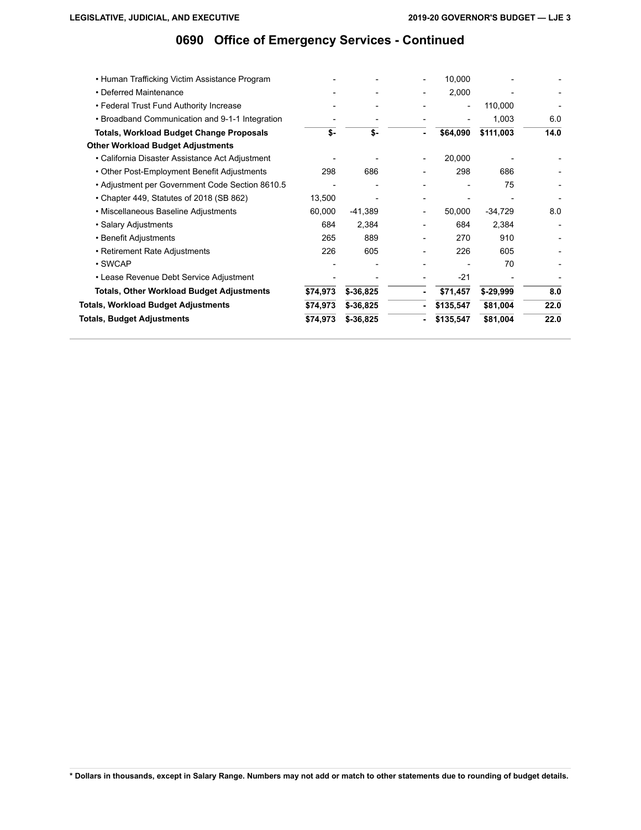| • Salary Adjustments<br>• Benefit Adjustments                                              | 684<br>265 | 2,384<br>889 | 684<br>270      | 2,384<br>910     |      |
|--------------------------------------------------------------------------------------------|------------|--------------|-----------------|------------------|------|
| • Miscellaneous Baseline Adjustments                                                       | 60,000     | $-41,389$    | 50,000          | $-34,729$        | 8.0  |
| • Chapter 449, Statutes of 2018 (SB 862)                                                   | 13,500     |              |                 |                  |      |
| • Adjustment per Government Code Section 8610.5                                            |            |              |                 | 75               |      |
| • Other Post-Employment Benefit Adjustments                                                | 298        | 686          | 298             | 686              |      |
| • California Disaster Assistance Act Adjustment                                            |            |              | 20,000          |                  |      |
| <b>Other Workload Budget Adjustments</b>                                                   |            |              |                 |                  |      |
| Totals, Workload Budget Change Proposals                                                   | \$-        | \$-          | \$64,090        | \$111,003        | 14.0 |
| • Federal Trust Fund Authority Increase<br>• Broadband Communication and 9-1-1 Integration |            |              | $\qquad \qquad$ | 110,000<br>1,003 | 6.0  |
| • Deferred Maintenance                                                                     |            |              | 2,000           |                  |      |
| • Human Trafficking Victim Assistance Program                                              |            |              | 10,000          |                  |      |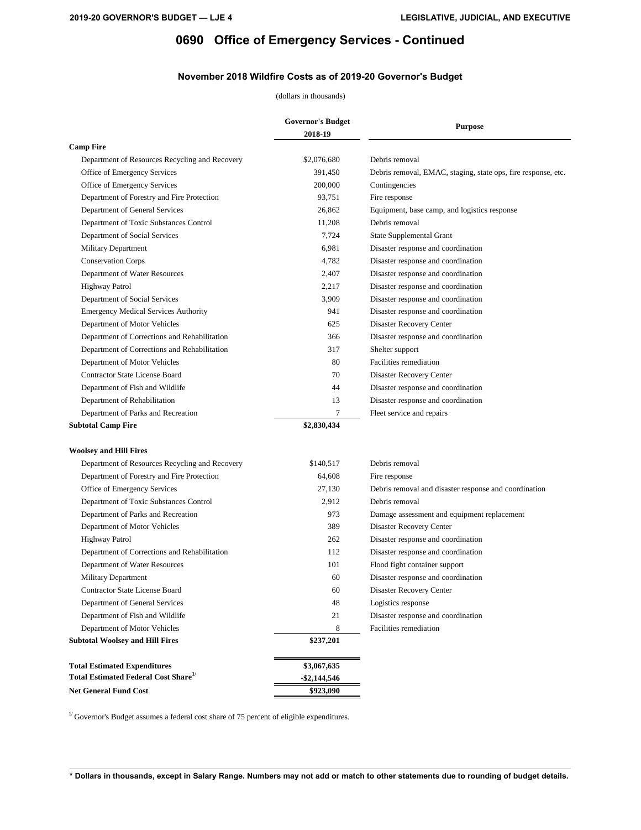### **November 2018 Wildfire Costs as of 2019-20 Governor's Budget**

### (dollars in thousands)

|                                                         | <b>Governor's Budget</b> | <b>Purpose</b>                                                |
|---------------------------------------------------------|--------------------------|---------------------------------------------------------------|
|                                                         | 2018-19                  |                                                               |
| <b>Camp Fire</b>                                        |                          |                                                               |
| Department of Resources Recycling and Recovery          | \$2,076,680              | Debris removal                                                |
| Office of Emergency Services                            | 391,450                  | Debris removal, EMAC, staging, state ops, fire response, etc. |
| Office of Emergency Services                            | 200,000                  | Contingencies                                                 |
| Department of Forestry and Fire Protection              | 93,751                   | Fire response                                                 |
| Department of General Services                          | 26,862                   | Equipment, base camp, and logistics response                  |
| Department of Toxic Substances Control                  | 11,208                   | Debris removal                                                |
| Department of Social Services                           | 7,724                    | <b>State Supplemental Grant</b>                               |
| Military Department                                     | 6,981                    | Disaster response and coordination                            |
| <b>Conservation Corps</b>                               | 4,782                    | Disaster response and coordination                            |
| Department of Water Resources                           | 2,407                    | Disaster response and coordination                            |
| <b>Highway Patrol</b>                                   | 2,217                    | Disaster response and coordination                            |
| Department of Social Services                           | 3,909                    | Disaster response and coordination                            |
| <b>Emergency Medical Services Authority</b>             | 941                      | Disaster response and coordination                            |
| Department of Motor Vehicles                            | 625                      | Disaster Recovery Center                                      |
| Department of Corrections and Rehabilitation            | 366                      | Disaster response and coordination                            |
| Department of Corrections and Rehabilitation            | 317                      | Shelter support                                               |
| Department of Motor Vehicles                            | 80                       | Facilities remediation                                        |
| <b>Contractor State License Board</b>                   | 70                       | Disaster Recovery Center                                      |
| Department of Fish and Wildlife                         | 44                       | Disaster response and coordination                            |
| Department of Rehabilitation                            | 13                       | Disaster response and coordination                            |
| Department of Parks and Recreation                      | $\overline{7}$           | Fleet service and repairs                                     |
| <b>Subtotal Camp Fire</b>                               | \$2,830,434              |                                                               |
|                                                         |                          |                                                               |
| <b>Woolsey and Hill Fires</b>                           |                          |                                                               |
| Department of Resources Recycling and Recovery          | \$140,517                | Debris removal                                                |
| Department of Forestry and Fire Protection              | 64,608                   | Fire response                                                 |
| Office of Emergency Services                            | 27,130                   | Debris removal and disaster response and coordination         |
| Department of Toxic Substances Control                  | 2,912                    | Debris removal                                                |
| Department of Parks and Recreation                      | 973                      | Damage assessment and equipment replacement                   |
| Department of Motor Vehicles                            | 389                      | Disaster Recovery Center                                      |
| <b>Highway Patrol</b>                                   | 262                      | Disaster response and coordination                            |
| Department of Corrections and Rehabilitation            | 112                      | Disaster response and coordination                            |
| Department of Water Resources                           | 101                      | Flood fight container support                                 |
| Military Department                                     | 60                       | Disaster response and coordination                            |
| <b>Contractor State License Board</b>                   | 60                       | Disaster Recovery Center                                      |
| Department of General Services                          | 48                       | Logistics response                                            |
| Department of Fish and Wildlife                         | 21                       | Disaster response and coordination                            |
| Department of Motor Vehicles                            | 8                        | Facilities remediation                                        |
| <b>Subtotal Woolsey and Hill Fires</b>                  | \$237,201                |                                                               |
|                                                         |                          |                                                               |
| <b>Total Estimated Expenditures</b>                     | \$3,067,635              |                                                               |
| <b>Total Estimated Federal Cost Share</b> <sup>1/</sup> | $-$ \$2,144,546          |                                                               |
| <b>Net General Fund Cost</b>                            | \$923,090                |                                                               |

 $^{\mathrm{1\prime}}$  Governor's Budget assumes a federal cost share of 75 percent of eligible expenditures.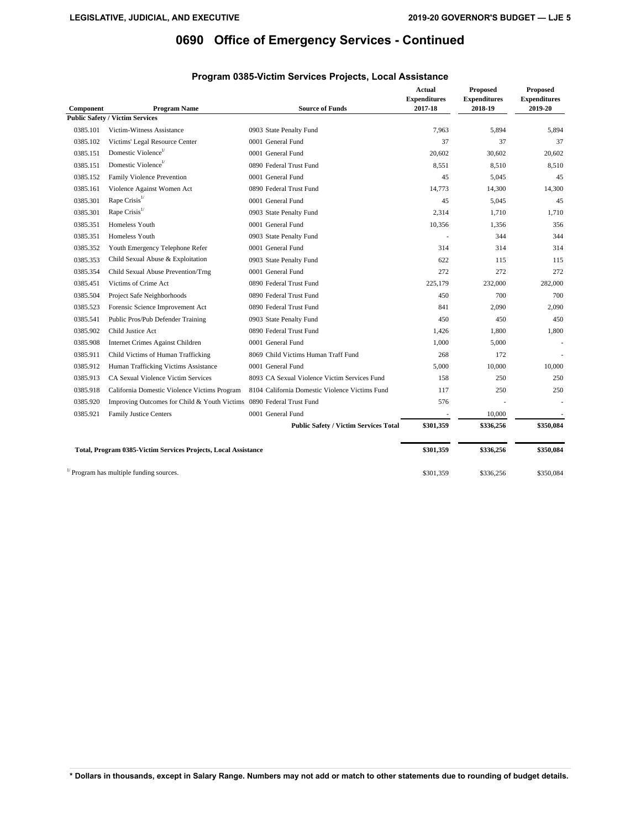| Component | <b>Program Name</b>                                                  | <b>Source of Funds</b>                         | <b>Actual</b><br><b>Expenditures</b><br>2017-18 | <b>Proposed</b><br><b>Expenditures</b><br>2018-19 | <b>Proposed</b><br><b>Expenditures</b><br>2019-20 |
|-----------|----------------------------------------------------------------------|------------------------------------------------|-------------------------------------------------|---------------------------------------------------|---------------------------------------------------|
|           | <b>Public Safety / Victim Services</b>                               |                                                |                                                 |                                                   |                                                   |
| 0385.101  | Victim-Witness Assistance                                            | 0903 State Penalty Fund                        | 7,963                                           | 5,894                                             | 5,894                                             |
| 0385.102  | Victims' Legal Resource Center                                       | 0001 General Fund                              | 37                                              | 37                                                | 37                                                |
| 0385.151  | Domestic Violence <sup>1/</sup>                                      | 0001 General Fund                              | 20,602                                          | 30,602                                            | 20,602                                            |
| 0385.151  | Domestic Violence <sup>1/</sup>                                      | 0890 Federal Trust Fund                        | 8.551                                           | 8.510                                             | 8,510                                             |
| 0385.152  | Family Violence Prevention                                           | 0001 General Fund                              | 45                                              | 5,045                                             | 45                                                |
| 0385.161  | Violence Against Women Act                                           | 0890 Federal Trust Fund                        | 14.773                                          | 14,300                                            | 14,300                                            |
| 0385.301  | Rape Crisis <sup>1/</sup>                                            | 0001 General Fund                              | 45                                              | 5,045                                             | 45                                                |
| 0385.301  | Rape Crisis <sup>1/</sup>                                            | 0903 State Penalty Fund                        | 2,314                                           | 1,710                                             | 1,710                                             |
| 0385.351  | Homeless Youth                                                       | 0001 General Fund                              | 10,356                                          | 1,356                                             | 356                                               |
| 0385.351  | Homeless Youth                                                       | 0903 State Penalty Fund                        |                                                 | 344                                               | 344                                               |
| 0385.352  | Youth Emergency Telephone Refer                                      | 0001 General Fund                              | 314                                             | 314                                               | 314                                               |
| 0385.353  | Child Sexual Abuse & Exploitation                                    | 0903 State Penalty Fund                        | 622                                             | 115                                               | 115                                               |
| 0385.354  | Child Sexual Abuse Prevention/Trng                                   | 0001 General Fund                              | 272                                             | 272                                               | 272                                               |
| 0385.451  | Victims of Crime Act                                                 | 0890 Federal Trust Fund                        | 225,179                                         | 232,000                                           | 282,000                                           |
| 0385.504  | Project Safe Neighborhoods                                           | 0890 Federal Trust Fund                        | 450                                             | 700                                               | 700                                               |
| 0385.523  | Forensic Science Improvement Act                                     | 0890 Federal Trust Fund                        | 841                                             | 2,090                                             | 2,090                                             |
| 0385.541  | Public Pros/Pub Defender Training                                    | 0903 State Penalty Fund                        | 450                                             | 450                                               | 450                                               |
| 0385.902  | Child Justice Act                                                    | 0890 Federal Trust Fund                        | 1.426                                           | 1.800                                             | 1.800                                             |
| 0385.908  | Internet Crimes Against Children                                     | 0001 General Fund                              | 1,000                                           | 5,000                                             |                                                   |
| 0385.911  | Child Victims of Human Trafficking                                   | 8069 Child Victims Human Traff Fund            | 268                                             | 172                                               |                                                   |
| 0385.912  | Human Trafficking Victims Assistance                                 | 0001 General Fund                              | 5,000                                           | 10,000                                            | 10,000                                            |
| 0385.913  | CA Sexual Violence Victim Services                                   | 8093 CA Sexual Violence Victim Services Fund   | 158                                             | 250                                               | 250                                               |
| 0385.918  | California Domestic Violence Victims Program                         | 8104 California Domestic Violence Victims Fund | 117                                             | 250                                               | 250                                               |
| 0385.920  | Improving Outcomes for Child & Youth Victims 0890 Federal Trust Fund |                                                | 576                                             |                                                   |                                                   |
| 0385.921  | Family Justice Centers                                               | 0001 General Fund                              |                                                 | 10,000                                            |                                                   |
|           |                                                                      | <b>Public Safety / Victim Services Total</b>   | \$301,359                                       | \$336,256                                         | \$350,084                                         |
|           | Total, Program 0385-Victim Services Projects, Local Assistance       |                                                | \$301,359                                       | \$336,256                                         | \$350,084                                         |
|           | $\frac{1}{2}$ Program has multiple funding sources.                  |                                                | \$301,359                                       | \$336,256                                         | \$350,084                                         |

## **Program 0385-Victim Services Projects, Local Assistance**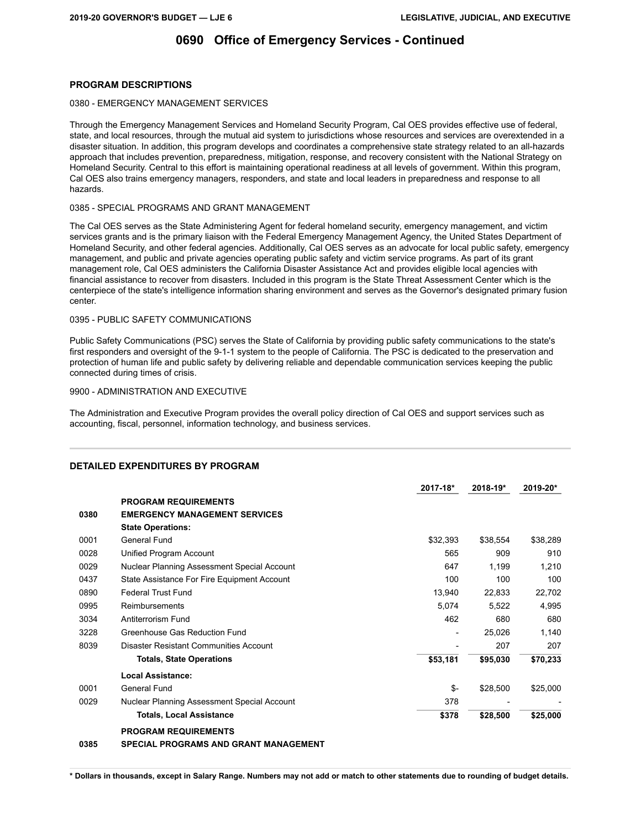#### **PROGRAM DESCRIPTIONS**

#### 0380 - EMERGENCY MANAGEMENT SERVICES

Through the Emergency Management Services and Homeland Security Program, Cal OES provides effective use of federal, state, and local resources, through the mutual aid system to jurisdictions whose resources and services are overextended in a disaster situation. In addition, this program develops and coordinates a comprehensive state strategy related to an all-hazards approach that includes prevention, preparedness, mitigation, response, and recovery consistent with the National Strategy on Homeland Security. Central to this effort is maintaining operational readiness at all levels of government. Within this program, Cal OES also trains emergency managers, responders, and state and local leaders in preparedness and response to all hazards.

#### 0385 - SPECIAL PROGRAMS AND GRANT MANAGEMENT

The Cal OES serves as the State Administering Agent for federal homeland security, emergency management, and victim services grants and is the primary liaison with the Federal Emergency Management Agency, the United States Department of Homeland Security, and other federal agencies. Additionally, Cal OES serves as an advocate for local public safety, emergency management, and public and private agencies operating public safety and victim service programs. As part of its grant management role, Cal OES administers the California Disaster Assistance Act and provides eligible local agencies with financial assistance to recover from disasters. Included in this program is the State Threat Assessment Center which is the centerpiece of the state's intelligence information sharing environment and serves as the Governor's designated primary fusion center.

#### 0395 - PUBLIC SAFETY COMMUNICATIONS

Public Safety Communications (PSC) serves the State of California by providing public safety communications to the state's first responders and oversight of the 9-1-1 system to the people of California. The PSC is dedicated to the preservation and protection of human life and public safety by delivering reliable and dependable communication services keeping the public connected during times of crisis.

#### 9900 - ADMINISTRATION AND EXECUTIVE

The Administration and Executive Program provides the overall policy direction of Cal OES and support services such as accounting, fiscal, personnel, information technology, and business services.

|      |                                              | 2017-18*                 | 2018-19* | $2019 - 20*$ |
|------|----------------------------------------------|--------------------------|----------|--------------|
|      | <b>PROGRAM REQUIREMENTS</b>                  |                          |          |              |
| 0380 | <b>EMERGENCY MANAGEMENT SERVICES</b>         |                          |          |              |
|      | <b>State Operations:</b>                     |                          |          |              |
| 0001 | General Fund                                 | \$32,393                 | \$38,554 | \$38,289     |
| 0028 | Unified Program Account                      | 565                      | 909      | 910          |
| 0029 | Nuclear Planning Assessment Special Account  | 647                      | 1.199    | 1.210        |
| 0437 | State Assistance For Fire Equipment Account  | 100                      | 100      | 100          |
| 0890 | <b>Federal Trust Fund</b>                    | 13,940                   | 22,833   | 22,702       |
| 0995 | Reimbursements                               | 5,074                    | 5,522    | 4,995        |
| 3034 | Antiterrorism Fund                           | 462                      | 680      | 680          |
| 3228 | Greenhouse Gas Reduction Fund                | $\overline{\phantom{a}}$ | 25.026   | 1.140        |
| 8039 | Disaster Resistant Communities Account       |                          | 207      | 207          |
|      | <b>Totals, State Operations</b>              | \$53,181                 | \$95,030 | \$70,233     |
|      | Local Assistance:                            |                          |          |              |
| 0001 | General Fund                                 | \$-                      | \$28,500 | \$25,000     |
| 0029 | Nuclear Planning Assessment Special Account  | 378                      |          |              |
|      | <b>Totals, Local Assistance</b>              | \$378                    | \$28,500 | \$25,000     |
|      | <b>PROGRAM REQUIREMENTS</b>                  |                          |          |              |
| 0385 | <b>SPECIAL PROGRAMS AND GRANT MANAGEMENT</b> |                          |          |              |

#### **DETAILED EXPENDITURES BY PROGRAM**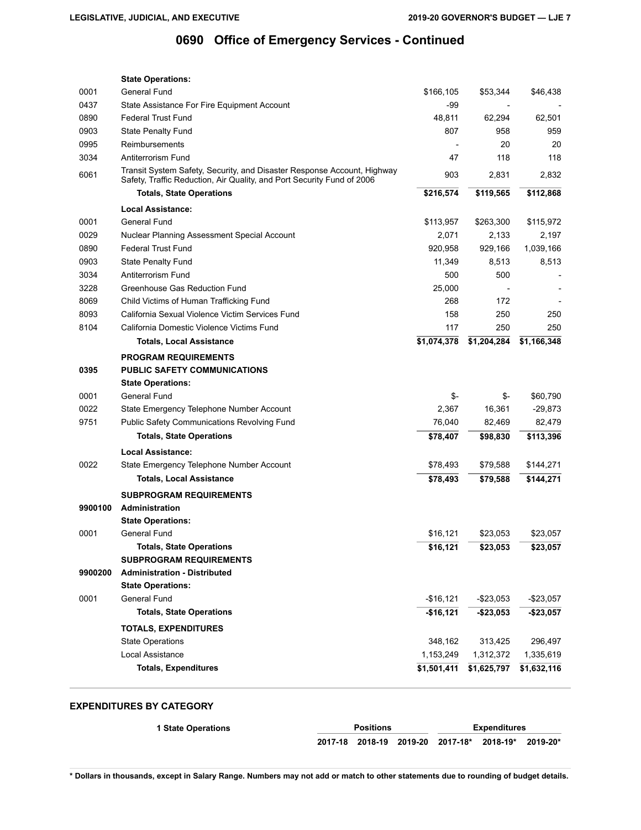| 0001<br>General Fund<br>\$166,105<br>\$53,344<br>\$46,438<br>0437<br>-99<br>State Assistance For Fire Equipment Account<br>0890<br>62,294<br><b>Federal Trust Fund</b><br>48,811<br>62,501<br>0903<br>807<br>State Penalty Fund<br>958<br>959<br>0995<br>20<br>20<br>Reimbursements<br>3034<br>Antiterrorism Fund<br>47<br>118<br>118<br>Transit System Safety, Security, and Disaster Response Account, Highway<br>6061<br>2,832<br>903<br>2,831<br>Safety, Traffic Reduction, Air Quality, and Port Security Fund of 2006<br><b>Totals, State Operations</b><br>\$216,574<br>\$112,868<br>\$119,565<br>Local Assistance:<br>0001<br>General Fund<br>\$113,957<br>\$263,300<br>\$115,972<br>0029<br>Nuclear Planning Assessment Special Account<br>2,071<br>2,133<br>2,197<br>1,039,166<br>0890<br><b>Federal Trust Fund</b><br>920,958<br>929,166<br>0903<br><b>State Penalty Fund</b><br>11,349<br>8,513<br>8,513<br>3034<br>500<br>500<br>Antiterrorism Fund<br>3228<br>Greenhouse Gas Reduction Fund<br>25,000<br>8069<br>172<br>Child Victims of Human Trafficking Fund<br>268<br>8093<br>California Sexual Violence Victim Services Fund<br>158<br>250<br>250<br>8104<br>California Domestic Violence Victims Fund<br>250<br>250<br>117<br>\$1,074,378<br>\$1,204,284<br><b>Totals, Local Assistance</b><br>\$1,166,348<br><b>PROGRAM REQUIREMENTS</b><br><b>PUBLIC SAFETY COMMUNICATIONS</b><br>0395<br><b>State Operations:</b><br>\$-<br>\$60,790<br>0001<br>General Fund<br>\$-<br>0022<br>State Emergency Telephone Number Account<br>2,367<br>16,361<br>$-29,873$<br>9751<br><b>Public Safety Communications Revolving Fund</b><br>76,040<br>82,469<br>82,479<br><b>Totals, State Operations</b><br>\$113,396<br>\$78,407<br>\$98,830<br><b>Local Assistance:</b><br>0022<br>State Emergency Telephone Number Account<br>\$78,493<br>\$79,588<br>\$144,271<br><b>Totals, Local Assistance</b><br>\$78,493<br>\$79,588<br>\$144,271<br><b>SUBPROGRAM REQUIREMENTS</b><br>9900100<br><b>Administration</b><br><b>State Operations:</b><br>General Fund<br>0001<br>\$16,121<br>\$23,053<br>\$23,057<br><b>Totals, State Operations</b><br>\$16,121<br>\$23,053<br>\$23,057<br><b>SUBPROGRAM REQUIREMENTS</b><br>9900200<br><b>Administration - Distributed</b><br><b>State Operations:</b><br>0001<br><b>General Fund</b><br>$-$16,121$<br>$-$23,053$<br>$-$23,057$<br><b>Totals, State Operations</b><br>$-$16,121$<br>$-$23,053$<br>$-$ \$23,057<br><b>TOTALS, EXPENDITURES</b><br>348,162<br>313,425<br>296,497<br><b>State Operations</b><br>Local Assistance<br>1,153,249<br>1,312,372<br>1,335,619<br><b>Totals, Expenditures</b><br>\$1,501,411<br>\$1,625,797<br>\$1,632,116 | <b>State Operations:</b> |  |  |
|------------------------------------------------------------------------------------------------------------------------------------------------------------------------------------------------------------------------------------------------------------------------------------------------------------------------------------------------------------------------------------------------------------------------------------------------------------------------------------------------------------------------------------------------------------------------------------------------------------------------------------------------------------------------------------------------------------------------------------------------------------------------------------------------------------------------------------------------------------------------------------------------------------------------------------------------------------------------------------------------------------------------------------------------------------------------------------------------------------------------------------------------------------------------------------------------------------------------------------------------------------------------------------------------------------------------------------------------------------------------------------------------------------------------------------------------------------------------------------------------------------------------------------------------------------------------------------------------------------------------------------------------------------------------------------------------------------------------------------------------------------------------------------------------------------------------------------------------------------------------------------------------------------------------------------------------------------------------------------------------------------------------------------------------------------------------------------------------------------------------------------------------------------------------------------------------------------------------------------------------------------------------------------------------------------------------------------------------------------------------------------------------------------------------------------------------------------------------------------------------------------------------------------------------------------------------------------------------------------------------------------------------------------------------------------------------|--------------------------|--|--|
|                                                                                                                                                                                                                                                                                                                                                                                                                                                                                                                                                                                                                                                                                                                                                                                                                                                                                                                                                                                                                                                                                                                                                                                                                                                                                                                                                                                                                                                                                                                                                                                                                                                                                                                                                                                                                                                                                                                                                                                                                                                                                                                                                                                                                                                                                                                                                                                                                                                                                                                                                                                                                                                                                                |                          |  |  |
|                                                                                                                                                                                                                                                                                                                                                                                                                                                                                                                                                                                                                                                                                                                                                                                                                                                                                                                                                                                                                                                                                                                                                                                                                                                                                                                                                                                                                                                                                                                                                                                                                                                                                                                                                                                                                                                                                                                                                                                                                                                                                                                                                                                                                                                                                                                                                                                                                                                                                                                                                                                                                                                                                                |                          |  |  |
|                                                                                                                                                                                                                                                                                                                                                                                                                                                                                                                                                                                                                                                                                                                                                                                                                                                                                                                                                                                                                                                                                                                                                                                                                                                                                                                                                                                                                                                                                                                                                                                                                                                                                                                                                                                                                                                                                                                                                                                                                                                                                                                                                                                                                                                                                                                                                                                                                                                                                                                                                                                                                                                                                                |                          |  |  |
|                                                                                                                                                                                                                                                                                                                                                                                                                                                                                                                                                                                                                                                                                                                                                                                                                                                                                                                                                                                                                                                                                                                                                                                                                                                                                                                                                                                                                                                                                                                                                                                                                                                                                                                                                                                                                                                                                                                                                                                                                                                                                                                                                                                                                                                                                                                                                                                                                                                                                                                                                                                                                                                                                                |                          |  |  |
|                                                                                                                                                                                                                                                                                                                                                                                                                                                                                                                                                                                                                                                                                                                                                                                                                                                                                                                                                                                                                                                                                                                                                                                                                                                                                                                                                                                                                                                                                                                                                                                                                                                                                                                                                                                                                                                                                                                                                                                                                                                                                                                                                                                                                                                                                                                                                                                                                                                                                                                                                                                                                                                                                                |                          |  |  |
|                                                                                                                                                                                                                                                                                                                                                                                                                                                                                                                                                                                                                                                                                                                                                                                                                                                                                                                                                                                                                                                                                                                                                                                                                                                                                                                                                                                                                                                                                                                                                                                                                                                                                                                                                                                                                                                                                                                                                                                                                                                                                                                                                                                                                                                                                                                                                                                                                                                                                                                                                                                                                                                                                                |                          |  |  |
|                                                                                                                                                                                                                                                                                                                                                                                                                                                                                                                                                                                                                                                                                                                                                                                                                                                                                                                                                                                                                                                                                                                                                                                                                                                                                                                                                                                                                                                                                                                                                                                                                                                                                                                                                                                                                                                                                                                                                                                                                                                                                                                                                                                                                                                                                                                                                                                                                                                                                                                                                                                                                                                                                                |                          |  |  |
|                                                                                                                                                                                                                                                                                                                                                                                                                                                                                                                                                                                                                                                                                                                                                                                                                                                                                                                                                                                                                                                                                                                                                                                                                                                                                                                                                                                                                                                                                                                                                                                                                                                                                                                                                                                                                                                                                                                                                                                                                                                                                                                                                                                                                                                                                                                                                                                                                                                                                                                                                                                                                                                                                                |                          |  |  |
|                                                                                                                                                                                                                                                                                                                                                                                                                                                                                                                                                                                                                                                                                                                                                                                                                                                                                                                                                                                                                                                                                                                                                                                                                                                                                                                                                                                                                                                                                                                                                                                                                                                                                                                                                                                                                                                                                                                                                                                                                                                                                                                                                                                                                                                                                                                                                                                                                                                                                                                                                                                                                                                                                                |                          |  |  |
|                                                                                                                                                                                                                                                                                                                                                                                                                                                                                                                                                                                                                                                                                                                                                                                                                                                                                                                                                                                                                                                                                                                                                                                                                                                                                                                                                                                                                                                                                                                                                                                                                                                                                                                                                                                                                                                                                                                                                                                                                                                                                                                                                                                                                                                                                                                                                                                                                                                                                                                                                                                                                                                                                                |                          |  |  |
|                                                                                                                                                                                                                                                                                                                                                                                                                                                                                                                                                                                                                                                                                                                                                                                                                                                                                                                                                                                                                                                                                                                                                                                                                                                                                                                                                                                                                                                                                                                                                                                                                                                                                                                                                                                                                                                                                                                                                                                                                                                                                                                                                                                                                                                                                                                                                                                                                                                                                                                                                                                                                                                                                                |                          |  |  |
|                                                                                                                                                                                                                                                                                                                                                                                                                                                                                                                                                                                                                                                                                                                                                                                                                                                                                                                                                                                                                                                                                                                                                                                                                                                                                                                                                                                                                                                                                                                                                                                                                                                                                                                                                                                                                                                                                                                                                                                                                                                                                                                                                                                                                                                                                                                                                                                                                                                                                                                                                                                                                                                                                                |                          |  |  |
|                                                                                                                                                                                                                                                                                                                                                                                                                                                                                                                                                                                                                                                                                                                                                                                                                                                                                                                                                                                                                                                                                                                                                                                                                                                                                                                                                                                                                                                                                                                                                                                                                                                                                                                                                                                                                                                                                                                                                                                                                                                                                                                                                                                                                                                                                                                                                                                                                                                                                                                                                                                                                                                                                                |                          |  |  |
|                                                                                                                                                                                                                                                                                                                                                                                                                                                                                                                                                                                                                                                                                                                                                                                                                                                                                                                                                                                                                                                                                                                                                                                                                                                                                                                                                                                                                                                                                                                                                                                                                                                                                                                                                                                                                                                                                                                                                                                                                                                                                                                                                                                                                                                                                                                                                                                                                                                                                                                                                                                                                                                                                                |                          |  |  |
|                                                                                                                                                                                                                                                                                                                                                                                                                                                                                                                                                                                                                                                                                                                                                                                                                                                                                                                                                                                                                                                                                                                                                                                                                                                                                                                                                                                                                                                                                                                                                                                                                                                                                                                                                                                                                                                                                                                                                                                                                                                                                                                                                                                                                                                                                                                                                                                                                                                                                                                                                                                                                                                                                                |                          |  |  |
|                                                                                                                                                                                                                                                                                                                                                                                                                                                                                                                                                                                                                                                                                                                                                                                                                                                                                                                                                                                                                                                                                                                                                                                                                                                                                                                                                                                                                                                                                                                                                                                                                                                                                                                                                                                                                                                                                                                                                                                                                                                                                                                                                                                                                                                                                                                                                                                                                                                                                                                                                                                                                                                                                                |                          |  |  |
|                                                                                                                                                                                                                                                                                                                                                                                                                                                                                                                                                                                                                                                                                                                                                                                                                                                                                                                                                                                                                                                                                                                                                                                                                                                                                                                                                                                                                                                                                                                                                                                                                                                                                                                                                                                                                                                                                                                                                                                                                                                                                                                                                                                                                                                                                                                                                                                                                                                                                                                                                                                                                                                                                                |                          |  |  |
|                                                                                                                                                                                                                                                                                                                                                                                                                                                                                                                                                                                                                                                                                                                                                                                                                                                                                                                                                                                                                                                                                                                                                                                                                                                                                                                                                                                                                                                                                                                                                                                                                                                                                                                                                                                                                                                                                                                                                                                                                                                                                                                                                                                                                                                                                                                                                                                                                                                                                                                                                                                                                                                                                                |                          |  |  |
|                                                                                                                                                                                                                                                                                                                                                                                                                                                                                                                                                                                                                                                                                                                                                                                                                                                                                                                                                                                                                                                                                                                                                                                                                                                                                                                                                                                                                                                                                                                                                                                                                                                                                                                                                                                                                                                                                                                                                                                                                                                                                                                                                                                                                                                                                                                                                                                                                                                                                                                                                                                                                                                                                                |                          |  |  |
|                                                                                                                                                                                                                                                                                                                                                                                                                                                                                                                                                                                                                                                                                                                                                                                                                                                                                                                                                                                                                                                                                                                                                                                                                                                                                                                                                                                                                                                                                                                                                                                                                                                                                                                                                                                                                                                                                                                                                                                                                                                                                                                                                                                                                                                                                                                                                                                                                                                                                                                                                                                                                                                                                                |                          |  |  |
|                                                                                                                                                                                                                                                                                                                                                                                                                                                                                                                                                                                                                                                                                                                                                                                                                                                                                                                                                                                                                                                                                                                                                                                                                                                                                                                                                                                                                                                                                                                                                                                                                                                                                                                                                                                                                                                                                                                                                                                                                                                                                                                                                                                                                                                                                                                                                                                                                                                                                                                                                                                                                                                                                                |                          |  |  |
|                                                                                                                                                                                                                                                                                                                                                                                                                                                                                                                                                                                                                                                                                                                                                                                                                                                                                                                                                                                                                                                                                                                                                                                                                                                                                                                                                                                                                                                                                                                                                                                                                                                                                                                                                                                                                                                                                                                                                                                                                                                                                                                                                                                                                                                                                                                                                                                                                                                                                                                                                                                                                                                                                                |                          |  |  |
|                                                                                                                                                                                                                                                                                                                                                                                                                                                                                                                                                                                                                                                                                                                                                                                                                                                                                                                                                                                                                                                                                                                                                                                                                                                                                                                                                                                                                                                                                                                                                                                                                                                                                                                                                                                                                                                                                                                                                                                                                                                                                                                                                                                                                                                                                                                                                                                                                                                                                                                                                                                                                                                                                                |                          |  |  |
|                                                                                                                                                                                                                                                                                                                                                                                                                                                                                                                                                                                                                                                                                                                                                                                                                                                                                                                                                                                                                                                                                                                                                                                                                                                                                                                                                                                                                                                                                                                                                                                                                                                                                                                                                                                                                                                                                                                                                                                                                                                                                                                                                                                                                                                                                                                                                                                                                                                                                                                                                                                                                                                                                                |                          |  |  |
|                                                                                                                                                                                                                                                                                                                                                                                                                                                                                                                                                                                                                                                                                                                                                                                                                                                                                                                                                                                                                                                                                                                                                                                                                                                                                                                                                                                                                                                                                                                                                                                                                                                                                                                                                                                                                                                                                                                                                                                                                                                                                                                                                                                                                                                                                                                                                                                                                                                                                                                                                                                                                                                                                                |                          |  |  |
|                                                                                                                                                                                                                                                                                                                                                                                                                                                                                                                                                                                                                                                                                                                                                                                                                                                                                                                                                                                                                                                                                                                                                                                                                                                                                                                                                                                                                                                                                                                                                                                                                                                                                                                                                                                                                                                                                                                                                                                                                                                                                                                                                                                                                                                                                                                                                                                                                                                                                                                                                                                                                                                                                                |                          |  |  |
|                                                                                                                                                                                                                                                                                                                                                                                                                                                                                                                                                                                                                                                                                                                                                                                                                                                                                                                                                                                                                                                                                                                                                                                                                                                                                                                                                                                                                                                                                                                                                                                                                                                                                                                                                                                                                                                                                                                                                                                                                                                                                                                                                                                                                                                                                                                                                                                                                                                                                                                                                                                                                                                                                                |                          |  |  |
|                                                                                                                                                                                                                                                                                                                                                                                                                                                                                                                                                                                                                                                                                                                                                                                                                                                                                                                                                                                                                                                                                                                                                                                                                                                                                                                                                                                                                                                                                                                                                                                                                                                                                                                                                                                                                                                                                                                                                                                                                                                                                                                                                                                                                                                                                                                                                                                                                                                                                                                                                                                                                                                                                                |                          |  |  |
|                                                                                                                                                                                                                                                                                                                                                                                                                                                                                                                                                                                                                                                                                                                                                                                                                                                                                                                                                                                                                                                                                                                                                                                                                                                                                                                                                                                                                                                                                                                                                                                                                                                                                                                                                                                                                                                                                                                                                                                                                                                                                                                                                                                                                                                                                                                                                                                                                                                                                                                                                                                                                                                                                                |                          |  |  |
|                                                                                                                                                                                                                                                                                                                                                                                                                                                                                                                                                                                                                                                                                                                                                                                                                                                                                                                                                                                                                                                                                                                                                                                                                                                                                                                                                                                                                                                                                                                                                                                                                                                                                                                                                                                                                                                                                                                                                                                                                                                                                                                                                                                                                                                                                                                                                                                                                                                                                                                                                                                                                                                                                                |                          |  |  |
|                                                                                                                                                                                                                                                                                                                                                                                                                                                                                                                                                                                                                                                                                                                                                                                                                                                                                                                                                                                                                                                                                                                                                                                                                                                                                                                                                                                                                                                                                                                                                                                                                                                                                                                                                                                                                                                                                                                                                                                                                                                                                                                                                                                                                                                                                                                                                                                                                                                                                                                                                                                                                                                                                                |                          |  |  |
|                                                                                                                                                                                                                                                                                                                                                                                                                                                                                                                                                                                                                                                                                                                                                                                                                                                                                                                                                                                                                                                                                                                                                                                                                                                                                                                                                                                                                                                                                                                                                                                                                                                                                                                                                                                                                                                                                                                                                                                                                                                                                                                                                                                                                                                                                                                                                                                                                                                                                                                                                                                                                                                                                                |                          |  |  |
|                                                                                                                                                                                                                                                                                                                                                                                                                                                                                                                                                                                                                                                                                                                                                                                                                                                                                                                                                                                                                                                                                                                                                                                                                                                                                                                                                                                                                                                                                                                                                                                                                                                                                                                                                                                                                                                                                                                                                                                                                                                                                                                                                                                                                                                                                                                                                                                                                                                                                                                                                                                                                                                                                                |                          |  |  |
|                                                                                                                                                                                                                                                                                                                                                                                                                                                                                                                                                                                                                                                                                                                                                                                                                                                                                                                                                                                                                                                                                                                                                                                                                                                                                                                                                                                                                                                                                                                                                                                                                                                                                                                                                                                                                                                                                                                                                                                                                                                                                                                                                                                                                                                                                                                                                                                                                                                                                                                                                                                                                                                                                                |                          |  |  |
|                                                                                                                                                                                                                                                                                                                                                                                                                                                                                                                                                                                                                                                                                                                                                                                                                                                                                                                                                                                                                                                                                                                                                                                                                                                                                                                                                                                                                                                                                                                                                                                                                                                                                                                                                                                                                                                                                                                                                                                                                                                                                                                                                                                                                                                                                                                                                                                                                                                                                                                                                                                                                                                                                                |                          |  |  |
|                                                                                                                                                                                                                                                                                                                                                                                                                                                                                                                                                                                                                                                                                                                                                                                                                                                                                                                                                                                                                                                                                                                                                                                                                                                                                                                                                                                                                                                                                                                                                                                                                                                                                                                                                                                                                                                                                                                                                                                                                                                                                                                                                                                                                                                                                                                                                                                                                                                                                                                                                                                                                                                                                                |                          |  |  |
|                                                                                                                                                                                                                                                                                                                                                                                                                                                                                                                                                                                                                                                                                                                                                                                                                                                                                                                                                                                                                                                                                                                                                                                                                                                                                                                                                                                                                                                                                                                                                                                                                                                                                                                                                                                                                                                                                                                                                                                                                                                                                                                                                                                                                                                                                                                                                                                                                                                                                                                                                                                                                                                                                                |                          |  |  |
|                                                                                                                                                                                                                                                                                                                                                                                                                                                                                                                                                                                                                                                                                                                                                                                                                                                                                                                                                                                                                                                                                                                                                                                                                                                                                                                                                                                                                                                                                                                                                                                                                                                                                                                                                                                                                                                                                                                                                                                                                                                                                                                                                                                                                                                                                                                                                                                                                                                                                                                                                                                                                                                                                                |                          |  |  |
|                                                                                                                                                                                                                                                                                                                                                                                                                                                                                                                                                                                                                                                                                                                                                                                                                                                                                                                                                                                                                                                                                                                                                                                                                                                                                                                                                                                                                                                                                                                                                                                                                                                                                                                                                                                                                                                                                                                                                                                                                                                                                                                                                                                                                                                                                                                                                                                                                                                                                                                                                                                                                                                                                                |                          |  |  |
|                                                                                                                                                                                                                                                                                                                                                                                                                                                                                                                                                                                                                                                                                                                                                                                                                                                                                                                                                                                                                                                                                                                                                                                                                                                                                                                                                                                                                                                                                                                                                                                                                                                                                                                                                                                                                                                                                                                                                                                                                                                                                                                                                                                                                                                                                                                                                                                                                                                                                                                                                                                                                                                                                                |                          |  |  |
|                                                                                                                                                                                                                                                                                                                                                                                                                                                                                                                                                                                                                                                                                                                                                                                                                                                                                                                                                                                                                                                                                                                                                                                                                                                                                                                                                                                                                                                                                                                                                                                                                                                                                                                                                                                                                                                                                                                                                                                                                                                                                                                                                                                                                                                                                                                                                                                                                                                                                                                                                                                                                                                                                                |                          |  |  |
|                                                                                                                                                                                                                                                                                                                                                                                                                                                                                                                                                                                                                                                                                                                                                                                                                                                                                                                                                                                                                                                                                                                                                                                                                                                                                                                                                                                                                                                                                                                                                                                                                                                                                                                                                                                                                                                                                                                                                                                                                                                                                                                                                                                                                                                                                                                                                                                                                                                                                                                                                                                                                                                                                                |                          |  |  |
|                                                                                                                                                                                                                                                                                                                                                                                                                                                                                                                                                                                                                                                                                                                                                                                                                                                                                                                                                                                                                                                                                                                                                                                                                                                                                                                                                                                                                                                                                                                                                                                                                                                                                                                                                                                                                                                                                                                                                                                                                                                                                                                                                                                                                                                                                                                                                                                                                                                                                                                                                                                                                                                                                                |                          |  |  |

### **EXPENDITURES BY CATEGORY**

**1 State Operations Positions Expenditures 2017-18 2018-19 2019-20 2017-18\* 2018-19\* 2019-20\***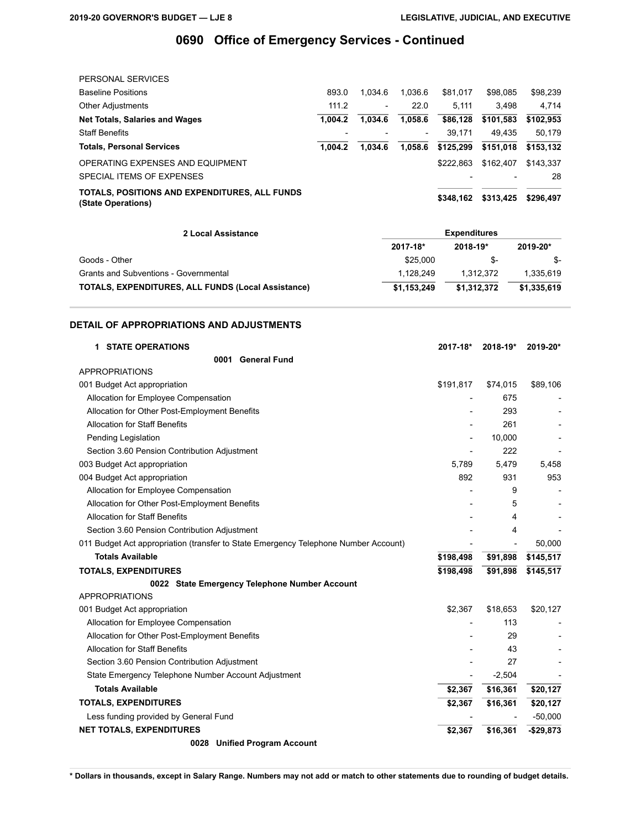| PERSONAL SERVICES                                                   |         |                 |         |           |           |           |
|---------------------------------------------------------------------|---------|-----------------|---------|-----------|-----------|-----------|
| <b>Baseline Positions</b>                                           | 893.0   | 1.034.6         | 1.036.6 | \$81.017  | \$98,085  | \$98,239  |
| <b>Other Adjustments</b>                                            | 111.2   | $\qquad \qquad$ | 22.0    | 5.111     | 3.498     | 4.714     |
| <b>Net Totals, Salaries and Wages</b>                               | 1.004.2 | 1.034.6         | 1,058.6 | \$86,128  | \$101,583 | \$102,953 |
| <b>Staff Benefits</b>                                               |         |                 |         | 39.171    | 49.435    | 50.179    |
| <b>Totals, Personal Services</b>                                    | 1.004.2 | 1.034.6         | 1.058.6 | \$125,299 | \$151.018 | \$153,132 |
| OPERATING EXPENSES AND EQUIPMENT                                    |         |                 |         | \$222.863 | \$162,407 | \$143,337 |
| SPECIAL ITEMS OF EXPENSES                                           |         |                 |         |           |           | 28        |
| TOTALS, POSITIONS AND EXPENDITURES, ALL FUNDS<br>(State Operations) |         |                 |         | \$348.162 | \$313,425 | \$296,497 |

| 2 Local Assistance                                        | <b>Expenditures</b> |             |             |  |
|-----------------------------------------------------------|---------------------|-------------|-------------|--|
|                                                           | 2017-18*            | 2018-19*    | 2019-20*    |  |
| Goods - Other                                             | \$25,000            | -&          | - S         |  |
| Grants and Subventions - Governmental                     | 1.128.249           | 1.312.372   | 1.335.619   |  |
| <b>TOTALS, EXPENDITURES, ALL FUNDS (Local Assistance)</b> | \$1.153.249         | \$1.312.372 | \$1,335,619 |  |

### **DETAIL OF APPROPRIATIONS AND ADJUSTMENTS**

| <b>1 STATE OPERATIONS</b>                                                           | 2017-18*                 | $2018 - 19*$ | 2019-20*                 |
|-------------------------------------------------------------------------------------|--------------------------|--------------|--------------------------|
| <b>General Fund</b><br>0001                                                         |                          |              |                          |
| <b>APPROPRIATIONS</b>                                                               |                          |              |                          |
| 001 Budget Act appropriation                                                        | \$191,817                | \$74,015     | \$89,106                 |
| Allocation for Employee Compensation                                                |                          | 675          |                          |
| Allocation for Other Post-Employment Benefits                                       |                          | 293          |                          |
| <b>Allocation for Staff Benefits</b>                                                |                          | 261          |                          |
| Pending Legislation                                                                 | $\overline{\phantom{a}}$ | 10,000       |                          |
| Section 3.60 Pension Contribution Adjustment                                        |                          | 222          | $\overline{\phantom{a}}$ |
| 003 Budget Act appropriation                                                        | 5,789                    | 5.479        | 5,458                    |
| 004 Budget Act appropriation                                                        | 892                      | 931          | 953                      |
| Allocation for Employee Compensation                                                |                          | 9            |                          |
| Allocation for Other Post-Employment Benefits                                       |                          | 5            |                          |
| <b>Allocation for Staff Benefits</b>                                                |                          | 4            |                          |
| Section 3.60 Pension Contribution Adjustment                                        |                          | 4            |                          |
| 011 Budget Act appropriation (transfer to State Emergency Telephone Number Account) |                          |              | 50,000                   |
| <b>Totals Available</b>                                                             | \$198,498                | \$91,898     | \$145,517                |
| <b>TOTALS, EXPENDITURES</b>                                                         | \$198,498                | \$91,898     | \$145,517                |
| 0022 State Emergency Telephone Number Account                                       |                          |              |                          |
| <b>APPROPRIATIONS</b>                                                               |                          |              |                          |
| 001 Budget Act appropriation                                                        | \$2,367                  | \$18,653     | \$20,127                 |
| Allocation for Employee Compensation                                                |                          | 113          |                          |
| Allocation for Other Post-Employment Benefits                                       |                          | 29           |                          |
| <b>Allocation for Staff Benefits</b>                                                |                          | 43           |                          |
| Section 3.60 Pension Contribution Adjustment                                        |                          | 27           |                          |
| State Emergency Telephone Number Account Adjustment                                 |                          | $-2,504$     |                          |
| <b>Totals Available</b>                                                             | \$2,367                  | \$16,361     | \$20,127                 |
| <b>TOTALS, EXPENDITURES</b>                                                         | \$2,367                  | \$16,361     | \$20,127                 |
| Less funding provided by General Fund                                               |                          |              | $-50,000$                |
| <b>NET TOTALS, EXPENDITURES</b>                                                     | \$2,367                  | \$16,361     | $-$29,873$               |
| 0028 Unified Program Account                                                        |                          |              |                          |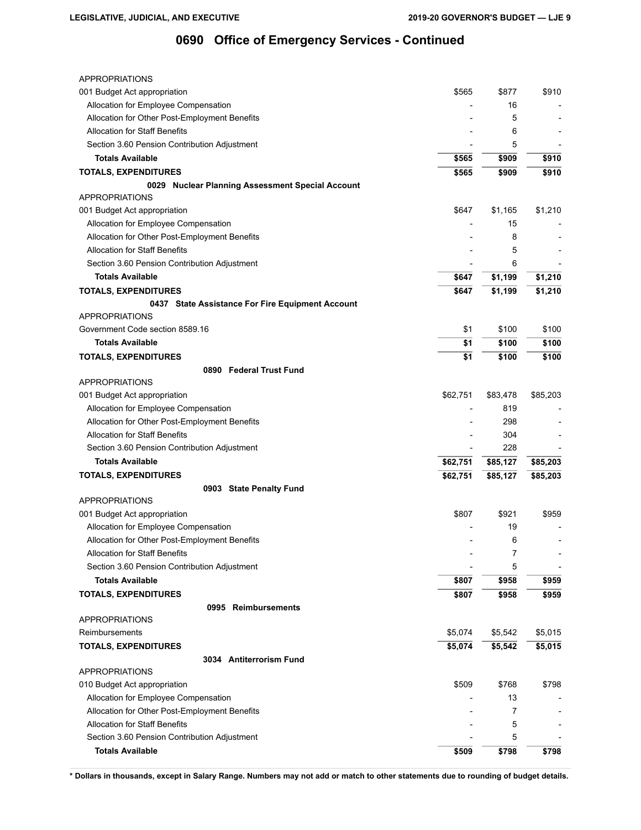| <b>APPROPRIATIONS</b>                            |          |          |          |
|--------------------------------------------------|----------|----------|----------|
| 001 Budget Act appropriation                     | \$565    | \$877    | \$910    |
| Allocation for Employee Compensation             |          | 16       |          |
| Allocation for Other Post-Employment Benefits    |          | 5        |          |
| <b>Allocation for Staff Benefits</b>             |          | 6        |          |
| Section 3.60 Pension Contribution Adjustment     |          | 5        |          |
| <b>Totals Available</b>                          | \$565    | \$909    | \$910    |
| <b>TOTALS, EXPENDITURES</b>                      | \$565    | \$909    | \$910    |
| 0029 Nuclear Planning Assessment Special Account |          |          |          |
| <b>APPROPRIATIONS</b>                            |          |          |          |
| 001 Budget Act appropriation                     | \$647    | \$1,165  | \$1,210  |
| Allocation for Employee Compensation             |          | 15       |          |
| Allocation for Other Post-Employment Benefits    |          | 8        |          |
| <b>Allocation for Staff Benefits</b>             |          | 5        |          |
| Section 3.60 Pension Contribution Adjustment     |          | 6        |          |
| <b>Totals Available</b>                          | \$647    | \$1,199  | \$1,210  |
| <b>TOTALS, EXPENDITURES</b>                      | \$647    | \$1,199  | \$1,210  |
| 0437 State Assistance For Fire Equipment Account |          |          |          |
| <b>APPROPRIATIONS</b>                            |          |          |          |
| Government Code section 8589.16                  | \$1      | \$100    | \$100    |
| <b>Totals Available</b>                          | \$1      | \$100    | \$100    |
| <b>TOTALS, EXPENDITURES</b>                      | \$1      | \$100    | \$100    |
| 0890 Federal Trust Fund                          |          |          |          |
| <b>APPROPRIATIONS</b>                            |          |          |          |
| 001 Budget Act appropriation                     | \$62,751 | \$83,478 | \$85,203 |
| Allocation for Employee Compensation             |          | 819      |          |
| Allocation for Other Post-Employment Benefits    |          | 298      |          |
| <b>Allocation for Staff Benefits</b>             |          | 304      |          |
| Section 3.60 Pension Contribution Adjustment     |          | 228      |          |
| <b>Totals Available</b>                          | \$62,751 | \$85,127 | \$85,203 |
| <b>TOTALS, EXPENDITURES</b>                      | \$62,751 | \$85,127 | \$85,203 |
| 0903 State Penalty Fund                          |          |          |          |
| <b>APPROPRIATIONS</b>                            |          |          |          |
| 001 Budget Act appropriation                     | \$807    | \$921    | \$959    |
| Allocation for Employee Compensation             |          | 19       |          |
| Allocation for Other Post-Employment Benefits    |          | 6        |          |
| <b>Allocation for Staff Benefits</b>             |          | 7        |          |
| Section 3.60 Pension Contribution Adjustment     |          | 5        |          |
| <b>Totals Available</b>                          | \$807    | \$958    | \$959    |
| <b>TOTALS, EXPENDITURES</b>                      | \$807    | \$958    | \$959    |
| 0995 Reimbursements                              |          |          |          |
| <b>APPROPRIATIONS</b>                            |          |          |          |
| Reimbursements                                   | \$5,074  | \$5,542  | \$5,015  |
| <b>TOTALS, EXPENDITURES</b>                      | \$5,074  | \$5,542  | \$5,015  |
| 3034 Antiterrorism Fund                          |          |          |          |
| <b>APPROPRIATIONS</b>                            |          |          |          |
| 010 Budget Act appropriation                     | \$509    | \$768    | \$798    |
| Allocation for Employee Compensation             |          | 13       |          |
| Allocation for Other Post-Employment Benefits    |          | 7        |          |
| <b>Allocation for Staff Benefits</b>             |          | 5        |          |
| Section 3.60 Pension Contribution Adjustment     |          | 5        |          |
| <b>Totals Available</b>                          | \$509    | \$798    | \$798    |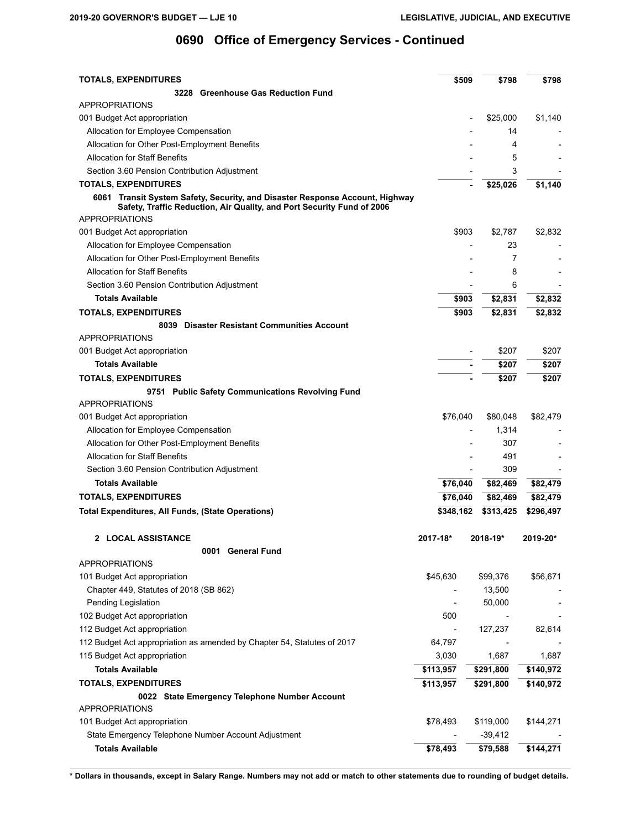| <b>TOTALS, EXPENDITURES</b>                                                                                                                            | \$509     | \$798         | \$798     |
|--------------------------------------------------------------------------------------------------------------------------------------------------------|-----------|---------------|-----------|
| 3228 Greenhouse Gas Reduction Fund                                                                                                                     |           |               |           |
| APPROPRIATIONS                                                                                                                                         |           |               |           |
| 001 Budget Act appropriation                                                                                                                           |           | \$25,000      | \$1,140   |
| Allocation for Employee Compensation                                                                                                                   |           | 14            |           |
| Allocation for Other Post-Employment Benefits                                                                                                          |           | 4             |           |
| <b>Allocation for Staff Benefits</b>                                                                                                                   |           | 5             |           |
| Section 3.60 Pension Contribution Adjustment                                                                                                           |           | 3             |           |
| <b>TOTALS, EXPENDITURES</b>                                                                                                                            |           | \$25,026      | \$1,140   |
| 6061 Transit System Safety, Security, and Disaster Response Account, Highway<br>Safety, Traffic Reduction, Air Quality, and Port Security Fund of 2006 |           |               |           |
| <b>APPROPRIATIONS</b>                                                                                                                                  | \$903     |               | \$2,832   |
| 001 Budget Act appropriation                                                                                                                           |           | \$2,787<br>23 |           |
| Allocation for Employee Compensation                                                                                                                   |           | 7             |           |
| Allocation for Other Post-Employment Benefits                                                                                                          |           |               |           |
| <b>Allocation for Staff Benefits</b>                                                                                                                   |           | 8             |           |
| Section 3.60 Pension Contribution Adjustment                                                                                                           |           | 6             |           |
| <b>Totals Available</b>                                                                                                                                | \$903     | \$2,831       | \$2,832   |
| <b>TOTALS, EXPENDITURES</b>                                                                                                                            | \$903     | \$2,831       | \$2,832   |
| 8039 Disaster Resistant Communities Account                                                                                                            |           |               |           |
| <b>APPROPRIATIONS</b>                                                                                                                                  |           |               |           |
| 001 Budget Act appropriation                                                                                                                           |           | \$207         | \$207     |
| <b>Totals Available</b>                                                                                                                                |           | \$207         | \$207     |
| <b>TOTALS, EXPENDITURES</b>                                                                                                                            |           | \$207         | \$207     |
| 9751 Public Safety Communications Revolving Fund                                                                                                       |           |               |           |
| <b>APPROPRIATIONS</b>                                                                                                                                  |           |               |           |
| 001 Budget Act appropriation                                                                                                                           | \$76,040  | \$80,048      | \$82,479  |
| Allocation for Employee Compensation                                                                                                                   |           | 1,314         |           |
| Allocation for Other Post-Employment Benefits                                                                                                          |           | 307           |           |
| <b>Allocation for Staff Benefits</b>                                                                                                                   |           | 491           |           |
| Section 3.60 Pension Contribution Adjustment                                                                                                           |           | 309           |           |
| <b>Totals Available</b>                                                                                                                                | \$76,040  | \$82,469      | \$82,479  |
| <b>TOTALS, EXPENDITURES</b>                                                                                                                            | \$76,040  | \$82,469      | \$82,479  |
| <b>Total Expenditures, All Funds, (State Operations)</b>                                                                                               | \$348,162 | \$313,425     | \$296,497 |
| 2 LOCAL ASSISTANCE                                                                                                                                     | 2017-18*  | $2018 - 19*$  | 2019-20*  |
| 0001 General Fund                                                                                                                                      |           |               |           |
| <b>APPROPRIATIONS</b>                                                                                                                                  |           |               |           |
| 101 Budget Act appropriation                                                                                                                           | \$45,630  | \$99,376      | \$56,671  |
| Chapter 449, Statutes of 2018 (SB 862)                                                                                                                 |           | 13,500        |           |
| Pending Legislation                                                                                                                                    |           | 50,000        |           |
| 102 Budget Act appropriation                                                                                                                           | 500       |               |           |
| 112 Budget Act appropriation                                                                                                                           |           | 127,237       | 82,614    |
| 112 Budget Act appropriation as amended by Chapter 54, Statutes of 2017                                                                                | 64,797    |               |           |
| 115 Budget Act appropriation                                                                                                                           | 3,030     | 1,687         | 1,687     |
| <b>Totals Available</b>                                                                                                                                | \$113,957 | \$291,800     | \$140,972 |
| <b>TOTALS, EXPENDITURES</b>                                                                                                                            | \$113,957 | \$291,800     | \$140,972 |
| 0022 State Emergency Telephone Number Account                                                                                                          |           |               |           |
| APPROPRIATIONS                                                                                                                                         |           |               |           |
| 101 Budget Act appropriation                                                                                                                           | \$78,493  | \$119,000     | \$144,271 |
| State Emergency Telephone Number Account Adjustment                                                                                                    |           | $-39,412$     |           |
| <b>Totals Available</b>                                                                                                                                | \$78,493  | \$79,588      | \$144,271 |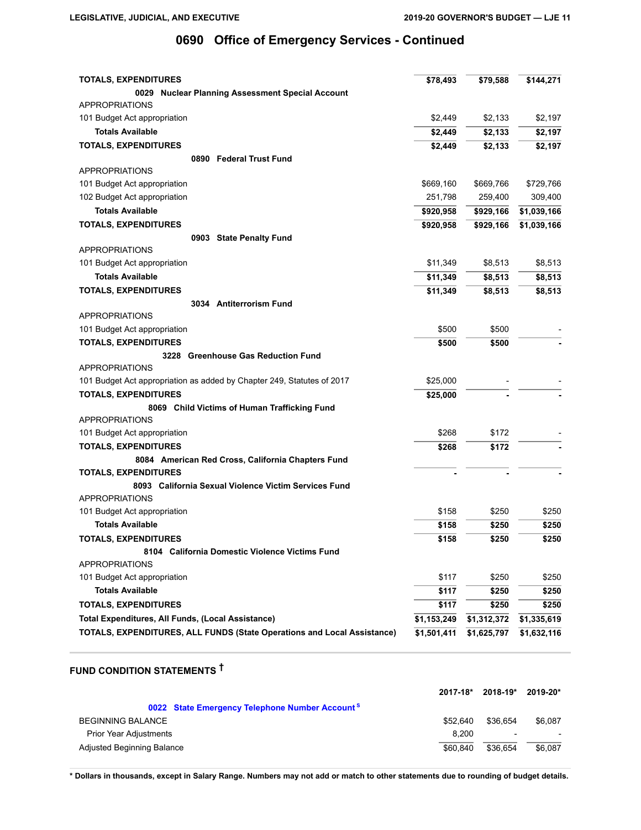| <b>TOTALS, EXPENDITURES</b>                                                    | \$78,493    | \$79,588    | \$144,271   |
|--------------------------------------------------------------------------------|-------------|-------------|-------------|
| 0029 Nuclear Planning Assessment Special Account                               |             |             |             |
| <b>APPROPRIATIONS</b>                                                          |             |             |             |
| 101 Budget Act appropriation                                                   | \$2,449     | \$2,133     | \$2,197     |
| <b>Totals Available</b>                                                        | \$2,449     | \$2,133     | \$2,197     |
| <b>TOTALS, EXPENDITURES</b>                                                    | \$2,449     | \$2,133     | \$2,197     |
| 0890 Federal Trust Fund                                                        |             |             |             |
| <b>APPROPRIATIONS</b>                                                          |             |             |             |
| 101 Budget Act appropriation                                                   | \$669,160   | \$669,766   | \$729,766   |
| 102 Budget Act appropriation                                                   | 251,798     | 259,400     | 309,400     |
| <b>Totals Available</b>                                                        | \$920,958   | \$929,166   | \$1,039,166 |
| <b>TOTALS, EXPENDITURES</b>                                                    | \$920,958   | \$929,166   | \$1,039,166 |
| 0903 State Penalty Fund                                                        |             |             |             |
| <b>APPROPRIATIONS</b>                                                          |             |             |             |
| 101 Budget Act appropriation                                                   | \$11,349    | \$8,513     | \$8,513     |
| <b>Totals Available</b>                                                        | \$11,349    | \$8,513     | \$8,513     |
| <b>TOTALS, EXPENDITURES</b>                                                    | \$11,349    | \$8,513     | \$8,513     |
| 3034 Antiterrorism Fund                                                        |             |             |             |
| <b>APPROPRIATIONS</b>                                                          |             |             |             |
| 101 Budget Act appropriation                                                   | \$500       | \$500       |             |
| <b>TOTALS, EXPENDITURES</b>                                                    | \$500       | \$500       |             |
| 3228 Greenhouse Gas Reduction Fund                                             |             |             |             |
| <b>APPROPRIATIONS</b>                                                          |             |             |             |
| 101 Budget Act appropriation as added by Chapter 249, Statutes of 2017         | \$25,000    |             |             |
| <b>TOTALS, EXPENDITURES</b>                                                    | \$25,000    |             |             |
| 8069 Child Victims of Human Trafficking Fund                                   |             |             |             |
| <b>APPROPRIATIONS</b>                                                          |             |             |             |
| 101 Budget Act appropriation                                                   | \$268       | \$172       |             |
| <b>TOTALS, EXPENDITURES</b>                                                    | \$268       | \$172       |             |
| 8084 American Red Cross, California Chapters Fund                              |             |             |             |
| <b>TOTALS, EXPENDITURES</b>                                                    |             |             |             |
| 8093 California Sexual Violence Victim Services Fund                           |             |             |             |
| <b>APPROPRIATIONS</b>                                                          |             |             |             |
| 101 Budget Act appropriation                                                   | \$158       | \$250       | \$250       |
| <b>Totals Available</b>                                                        | \$158       | \$250       | \$250       |
| <b>TOTALS, EXPENDITURES</b>                                                    | \$158       | \$250       | \$250       |
| 8104 California Domestic Violence Victims Fund                                 |             |             |             |
| <b>APPROPRIATIONS</b>                                                          |             |             |             |
| 101 Budget Act appropriation                                                   | \$117       | \$250       | \$250       |
| <b>Totals Available</b>                                                        | \$117       | \$250       | \$250       |
| <b>TOTALS, EXPENDITURES</b>                                                    | \$117       | \$250       | \$250       |
| Total Expenditures, All Funds, (Local Assistance)                              | \$1,153,249 | \$1,312,372 | \$1,335,619 |
| <b>TOTALS, EXPENDITURES, ALL FUNDS (State Operations and Local Assistance)</b> | \$1,501,411 | \$1,625,797 | \$1,632,116 |

# **FUND CONDITION STATEMENTS †**

|                                                            | 2017-18* | 2018-19*                 | 2019-20* |
|------------------------------------------------------------|----------|--------------------------|----------|
| 0022 State Emergency Telephone Number Account <sup>S</sup> |          |                          |          |
| <b>BEGINNING BALANCE</b>                                   | \$52,640 | \$36.654                 | \$6.087  |
| <b>Prior Year Adjustments</b>                              | 8.200    | $\overline{\phantom{a}}$ |          |
| Adjusted Beginning Balance                                 | \$60,840 | \$36.654                 | \$6,087  |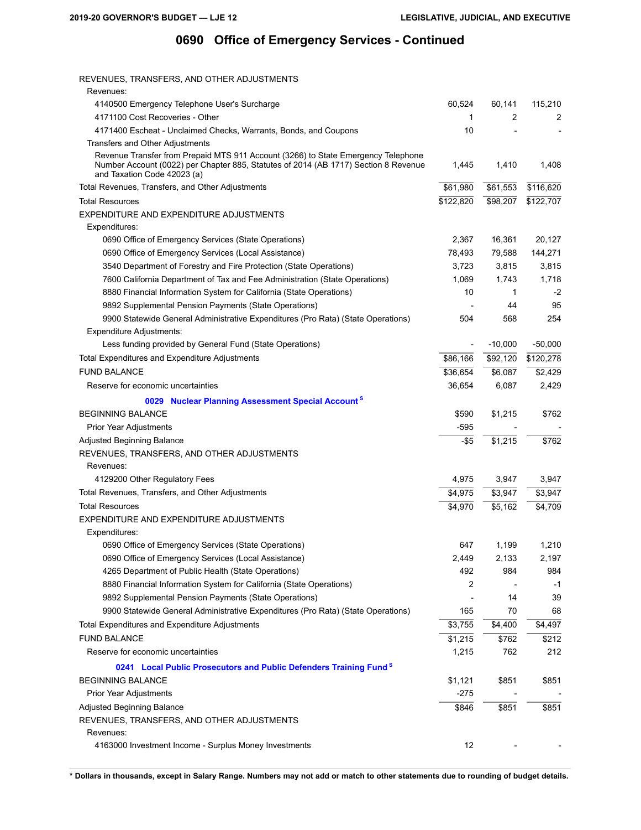REVENUES, TRANSFERS, AND OTHER ADJUSTMENTS

| Revenues:                                                                                                                                                                                               |           |           |           |
|---------------------------------------------------------------------------------------------------------------------------------------------------------------------------------------------------------|-----------|-----------|-----------|
| 4140500 Emergency Telephone User's Surcharge                                                                                                                                                            | 60,524    | 60,141    | 115,210   |
| 4171100 Cost Recoveries - Other                                                                                                                                                                         | 1         | 2         | 2         |
| 4171400 Escheat - Unclaimed Checks, Warrants, Bonds, and Coupons                                                                                                                                        | 10        |           |           |
| Transfers and Other Adjustments                                                                                                                                                                         |           |           |           |
| Revenue Transfer from Prepaid MTS 911 Account (3266) to State Emergency Telephone<br>Number Account (0022) per Chapter 885, Statutes of 2014 (AB 1717) Section 8 Revenue<br>and Taxation Code 42023 (a) | 1.445     | 1,410     | 1,408     |
| Total Revenues, Transfers, and Other Adjustments                                                                                                                                                        | \$61,980  | \$61,553  | \$116,620 |
| <b>Total Resources</b>                                                                                                                                                                                  | \$122,820 | \$98,207  | \$122,707 |
| EXPENDITURE AND EXPENDITURE ADJUSTMENTS                                                                                                                                                                 |           |           |           |
| Expenditures:                                                                                                                                                                                           |           |           |           |
| 0690 Office of Emergency Services (State Operations)                                                                                                                                                    | 2,367     | 16,361    | 20,127    |
| 0690 Office of Emergency Services (Local Assistance)                                                                                                                                                    | 78,493    | 79,588    | 144,271   |
| 3540 Department of Forestry and Fire Protection (State Operations)                                                                                                                                      | 3,723     | 3,815     | 3,815     |
| 7600 California Department of Tax and Fee Administration (State Operations)                                                                                                                             | 1,069     | 1,743     | 1,718     |
| 8880 Financial Information System for California (State Operations)                                                                                                                                     | 10        | 1         | $-2$      |
| 9892 Supplemental Pension Payments (State Operations)                                                                                                                                                   |           | 44        | 95        |
| 9900 Statewide General Administrative Expenditures (Pro Rata) (State Operations)                                                                                                                        | 504       | 568       | 254       |
| Expenditure Adjustments:                                                                                                                                                                                |           |           |           |
| Less funding provided by General Fund (State Operations)                                                                                                                                                |           | $-10,000$ | $-50,000$ |
| Total Expenditures and Expenditure Adjustments                                                                                                                                                          | \$86,166  | \$92,120  | \$120,278 |
| <b>FUND BALANCE</b>                                                                                                                                                                                     | \$36,654  | \$6,087   | \$2,429   |
| Reserve for economic uncertainties                                                                                                                                                                      | 36,654    | 6,087     | 2,429     |
| 0029 Nuclear Planning Assessment Special Account <sup>s</sup>                                                                                                                                           |           |           |           |
| <b>BEGINNING BALANCE</b>                                                                                                                                                                                | \$590     | \$1,215   | \$762     |
| Prior Year Adjustments                                                                                                                                                                                  | -595      |           |           |
| Adjusted Beginning Balance                                                                                                                                                                              | $-$ \$5   | \$1,215   | \$762     |
| REVENUES, TRANSFERS, AND OTHER ADJUSTMENTS                                                                                                                                                              |           |           |           |
| Revenues:                                                                                                                                                                                               |           |           |           |
| 4129200 Other Regulatory Fees                                                                                                                                                                           | 4,975     | 3,947     | 3,947     |
| Total Revenues, Transfers, and Other Adjustments                                                                                                                                                        | \$4,975   | \$3,947   | \$3,947   |
| <b>Total Resources</b>                                                                                                                                                                                  | \$4,970   | \$5,162   | \$4,709   |
| EXPENDITURE AND EXPENDITURE ADJUSTMENTS                                                                                                                                                                 |           |           |           |
| Expenditures:                                                                                                                                                                                           |           |           |           |
| 0690 Office of Emergency Services (State Operations)                                                                                                                                                    | 647       | 1,199     | 1,210     |
| 0690 Office of Emergency Services (Local Assistance)                                                                                                                                                    | 2,449     | 2,133     | 2,197     |
| 4265 Department of Public Health (State Operations)                                                                                                                                                     | 492       | 984       | 984       |
| 8880 Financial Information System for California (State Operations)                                                                                                                                     | 2         |           | $-1$      |
| 9892 Supplemental Pension Payments (State Operations)                                                                                                                                                   |           | 14        | 39        |
| 9900 Statewide General Administrative Expenditures (Pro Rata) (State Operations)                                                                                                                        | 165       | 70        | 68        |
| Total Expenditures and Expenditure Adjustments                                                                                                                                                          | \$3,755   | \$4,400   | \$4,497   |
| <b>FUND BALANCE</b>                                                                                                                                                                                     | \$1,215   | \$762     | \$212     |
| Reserve for economic uncertainties                                                                                                                                                                      | 1,215     | 762       | 212       |
|                                                                                                                                                                                                         |           |           |           |
| 0241 Local Public Prosecutors and Public Defenders Training Fund <sup>8</sup>                                                                                                                           |           |           |           |
| <b>BEGINNING BALANCE</b>                                                                                                                                                                                | \$1,121   | \$851     | \$851     |
| Prior Year Adjustments                                                                                                                                                                                  | -275      |           |           |
| Adjusted Beginning Balance                                                                                                                                                                              | \$846     | \$851     | \$851     |
| REVENUES, TRANSFERS, AND OTHER ADJUSTMENTS                                                                                                                                                              |           |           |           |
| Revenues:                                                                                                                                                                                               |           |           |           |
| 4163000 Investment Income - Surplus Money Investments                                                                                                                                                   | 12        |           |           |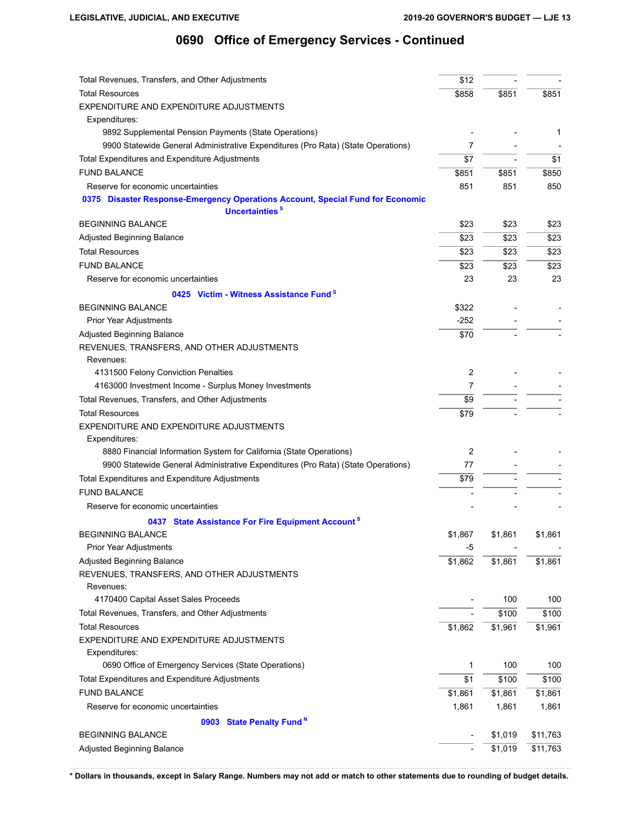| Total Revenues, Transfers, and Other Adjustments                                                             | \$12            |         |          |
|--------------------------------------------------------------------------------------------------------------|-----------------|---------|----------|
| <b>Total Resources</b>                                                                                       | \$858           | \$851   | \$851    |
| EXPENDITURE AND EXPENDITURE ADJUSTMENTS                                                                      |                 |         |          |
| Expenditures:                                                                                                |                 |         |          |
| 9892 Supplemental Pension Payments (State Operations)                                                        |                 |         | 1        |
| 9900 Statewide General Administrative Expenditures (Pro Rata) (State Operations)                             | 7               |         |          |
| Total Expenditures and Expenditure Adjustments                                                               | $\overline{$7}$ |         | \$1      |
| <b>FUND BALANCE</b>                                                                                          | \$851           | \$851   | \$850    |
| Reserve for economic uncertainties                                                                           | 851             | 851     | 850      |
| 0375 Disaster Response-Emergency Operations Account, Special Fund for Economic<br>Uncertainties <sup>s</sup> |                 |         |          |
| <b>BEGINNING BALANCE</b>                                                                                     | \$23            | \$23    | \$23     |
| Adjusted Beginning Balance                                                                                   | \$23            | \$23    | \$23     |
| <b>Total Resources</b>                                                                                       | \$23            | \$23    | \$23     |
| <b>FUND BALANCE</b>                                                                                          | \$23            | \$23    | \$23     |
| Reserve for economic uncertainties                                                                           | 23              | 23      | 23       |
| 0425 Victim - Witness Assistance Fund <sup>8</sup>                                                           |                 |         |          |
| <b>BEGINNING BALANCE</b>                                                                                     | \$322           |         |          |
| Prior Year Adjustments                                                                                       | -252            |         |          |
| <b>Adjusted Beginning Balance</b>                                                                            | \$70            |         |          |
| REVENUES, TRANSFERS, AND OTHER ADJUSTMENTS                                                                   |                 |         |          |
| Revenues:                                                                                                    |                 |         |          |
| 4131500 Felony Conviction Penalties                                                                          | 2               |         |          |
| 4163000 Investment Income - Surplus Money Investments                                                        | $\overline{7}$  |         |          |
| Total Revenues, Transfers, and Other Adjustments                                                             | \$9             |         |          |
| <b>Total Resources</b>                                                                                       | \$79            |         |          |
| EXPENDITURE AND EXPENDITURE ADJUSTMENTS                                                                      |                 |         |          |
| Expenditures:                                                                                                |                 |         |          |
| 8880 Financial Information System for California (State Operations)                                          | 2               |         |          |
| 9900 Statewide General Administrative Expenditures (Pro Rata) (State Operations)                             | 77              |         |          |
| Total Expenditures and Expenditure Adjustments                                                               | \$79            |         |          |
| <b>FUND BALANCE</b>                                                                                          |                 |         |          |
| Reserve for economic uncertainties                                                                           |                 |         |          |
| 0437 State Assistance For Fire Equipment Account <sup>s</sup>                                                |                 |         |          |
| <b>BEGINNING BALANCE</b>                                                                                     | \$1,867         | \$1,861 | \$1,861  |
| Prior Year Adjustments                                                                                       | $-5$            |         |          |
| Adjusted Beginning Balance                                                                                   | \$1,862         | \$1,861 | \$1,861  |
| REVENUES, TRANSFERS, AND OTHER ADJUSTMENTS                                                                   |                 |         |          |
| Revenues:                                                                                                    |                 |         |          |
| 4170400 Capital Asset Sales Proceeds                                                                         |                 | 100     | 100      |
| Total Revenues, Transfers, and Other Adjustments                                                             |                 | \$100   | \$100    |
| <b>Total Resources</b>                                                                                       | \$1,862         | \$1,961 | \$1,961  |
| EXPENDITURE AND EXPENDITURE ADJUSTMENTS                                                                      |                 |         |          |
| Expenditures:                                                                                                |                 |         |          |
| 0690 Office of Emergency Services (State Operations)                                                         | 1               | 100     | 100      |
| Total Expenditures and Expenditure Adjustments                                                               | \$1             | \$100   | \$100    |
| <b>FUND BALANCE</b>                                                                                          | \$1,861         | \$1,861 | \$1,861  |
| Reserve for economic uncertainties                                                                           | 1,861           | 1,861   | 1,861    |
| State Penalty Fund <sup>N</sup><br>0903                                                                      |                 |         |          |
| <b>BEGINNING BALANCE</b>                                                                                     |                 | \$1,019 | \$11,763 |
| Adjusted Beginning Balance                                                                                   |                 | \$1,019 | \$11,763 |
|                                                                                                              |                 |         |          |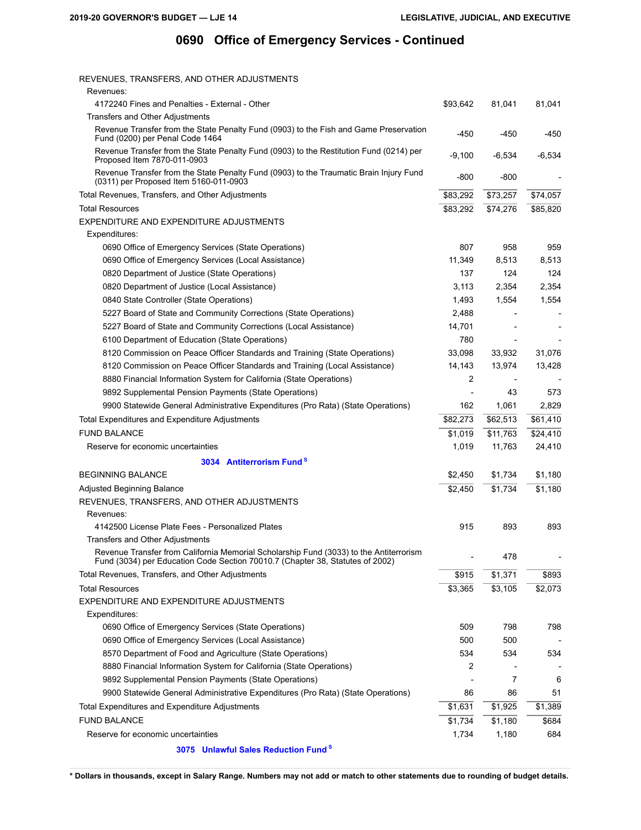| REVENUES, TRANSFERS, AND OTHER ADJUSTMENTS                                                                                                                              |                |          |          |
|-------------------------------------------------------------------------------------------------------------------------------------------------------------------------|----------------|----------|----------|
| Revenues:                                                                                                                                                               |                |          |          |
| 4172240 Fines and Penalties - External - Other                                                                                                                          | \$93,642       | 81,041   | 81,041   |
| <b>Transfers and Other Adjustments</b>                                                                                                                                  |                |          |          |
| Revenue Transfer from the State Penalty Fund (0903) to the Fish and Game Preservation<br>Fund (0200) per Penal Code 1464                                                | $-450$         | $-450$   | $-450$   |
| Revenue Transfer from the State Penalty Fund (0903) to the Restitution Fund (0214) per<br>Proposed Item 7870-011-0903                                                   | $-9,100$       | $-6,534$ | $-6,534$ |
| Revenue Transfer from the State Penalty Fund (0903) to the Traumatic Brain Injury Fund<br>(0311) per Proposed Item 5160-011-0903                                        | $-800$         | $-800$   |          |
| Total Revenues, Transfers, and Other Adjustments                                                                                                                        | \$83,292       | \$73,257 | \$74,057 |
| <b>Total Resources</b>                                                                                                                                                  | \$83,292       | \$74,276 | \$85,820 |
| EXPENDITURE AND EXPENDITURE ADJUSTMENTS                                                                                                                                 |                |          |          |
| Expenditures:                                                                                                                                                           |                |          |          |
| 0690 Office of Emergency Services (State Operations)                                                                                                                    | 807            | 958      | 959      |
| 0690 Office of Emergency Services (Local Assistance)                                                                                                                    | 11,349         | 8,513    | 8,513    |
| 0820 Department of Justice (State Operations)                                                                                                                           | 137            | 124      | 124      |
| 0820 Department of Justice (Local Assistance)                                                                                                                           | 3,113          | 2,354    | 2,354    |
| 0840 State Controller (State Operations)                                                                                                                                | 1,493          | 1,554    | 1,554    |
| 5227 Board of State and Community Corrections (State Operations)                                                                                                        | 2,488          |          |          |
| 5227 Board of State and Community Corrections (Local Assistance)                                                                                                        | 14,701         |          |          |
| 6100 Department of Education (State Operations)                                                                                                                         | 780            |          |          |
| 8120 Commission on Peace Officer Standards and Training (State Operations)                                                                                              | 33,098         | 33,932   | 31,076   |
| 8120 Commission on Peace Officer Standards and Training (Local Assistance)                                                                                              | 14,143         | 13,974   | 13,428   |
| 8880 Financial Information System for California (State Operations)                                                                                                     | 2              |          |          |
| 9892 Supplemental Pension Payments (State Operations)                                                                                                                   | $\overline{a}$ | 43       | 573      |
| 9900 Statewide General Administrative Expenditures (Pro Rata) (State Operations)                                                                                        | 162            | 1,061    | 2,829    |
| Total Expenditures and Expenditure Adjustments                                                                                                                          | \$82,273       | \$62,513 | \$61,410 |
| <b>FUND BALANCE</b>                                                                                                                                                     | \$1,019        | \$11,763 | \$24,410 |
| Reserve for economic uncertainties                                                                                                                                      | 1,019          | 11,763   | 24,410   |
| 3034 Antiterrorism Fund <sup>8</sup>                                                                                                                                    |                |          |          |
| <b>BEGINNING BALANCE</b>                                                                                                                                                | \$2,450        | \$1,734  | \$1,180  |
| <b>Adjusted Beginning Balance</b>                                                                                                                                       | \$2,450        | \$1,734  | \$1,180  |
| REVENUES, TRANSFERS, AND OTHER ADJUSTMENTS                                                                                                                              |                |          |          |
| Revenues:                                                                                                                                                               |                |          |          |
| 4142500 License Plate Fees - Personalized Plates                                                                                                                        | 915            | 893      | 893      |
| Transfers and Other Adjustments                                                                                                                                         |                |          |          |
| Revenue Transfer from California Memorial Scholarship Fund (3033) to the Antiterrorism<br>Fund (3034) per Education Code Section 70010.7 (Chapter 38, Statutes of 2002) |                | 478      |          |
| Total Revenues, Transfers, and Other Adjustments                                                                                                                        | \$915          | \$1,371  | \$893    |
| <b>Total Resources</b>                                                                                                                                                  | \$3,365        | \$3,105  | \$2,073  |
|                                                                                                                                                                         |                |          |          |

| EXPENDITURE AND EXPENDITURE ADJUSTMENTS                                          |         |         |         |
|----------------------------------------------------------------------------------|---------|---------|---------|
| Expenditures:                                                                    |         |         |         |
| 0690 Office of Emergency Services (State Operations)                             | 509     | 798     | 798     |
| 0690 Office of Emergency Services (Local Assistance)                             | 500     | 500     | -       |
| 8570 Department of Food and Agriculture (State Operations)                       | 534     | 534     | 534     |
| 8880 Financial Information System for California (State Operations)              | 2       |         | ٠       |
| 9892 Supplemental Pension Payments (State Operations)                            |         | 7       | 6       |
| 9900 Statewide General Administrative Expenditures (Pro Rata) (State Operations) | 86      | 86      | 51      |
| Total Expenditures and Expenditure Adjustments                                   | \$1.631 | \$1.925 | \$1.389 |
| FUND BALANCE                                                                     | \$1.734 | \$1.180 | \$684   |
| Reserve for economic uncertainties                                               | 1.734   | 1.180   | 684     |
|                                                                                  |         |         |         |

**3075 [Unlawful Sales Reduction Fund](http://www.dof.ca.gov/budget/manual_state_funds/Find_a_Fund/documents/3075.pdf) <sup>S</sup>**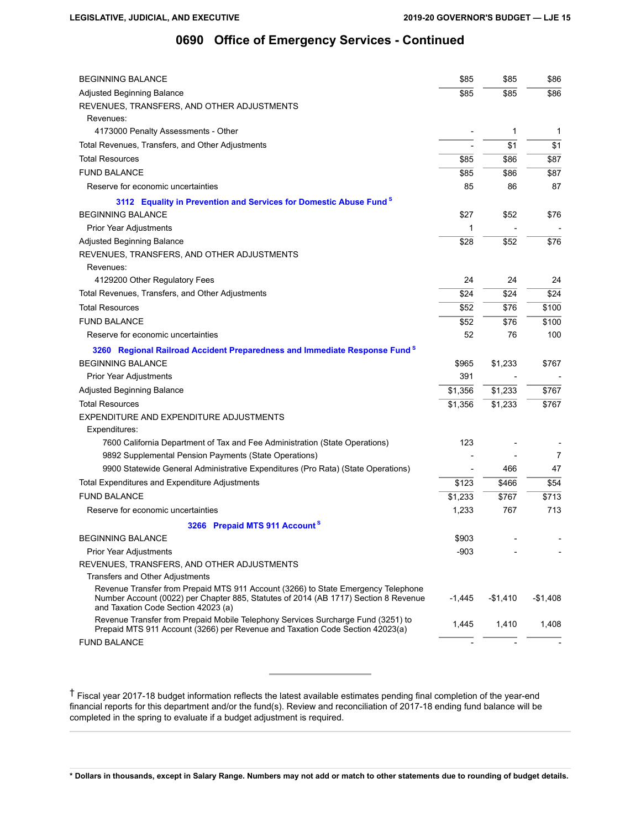| <b>BEGINNING BALANCE</b>                                                                                                                                                                                        | \$85     | \$85      | \$86      |
|-----------------------------------------------------------------------------------------------------------------------------------------------------------------------------------------------------------------|----------|-----------|-----------|
| Adjusted Beginning Balance                                                                                                                                                                                      | \$85     | \$85      | \$86      |
| REVENUES, TRANSFERS, AND OTHER ADJUSTMENTS                                                                                                                                                                      |          |           |           |
| Revenues:                                                                                                                                                                                                       |          |           |           |
| 4173000 Penalty Assessments - Other                                                                                                                                                                             |          | 1         | 1         |
| Total Revenues, Transfers, and Other Adjustments                                                                                                                                                                |          | \$1       | \$1       |
| <b>Total Resources</b>                                                                                                                                                                                          | \$85     | \$86      | \$87      |
| <b>FUND BALANCE</b>                                                                                                                                                                                             | \$85     | \$86      | \$87      |
| Reserve for economic uncertainties                                                                                                                                                                              | 85       | 86        | 87        |
| 3112 Equality in Prevention and Services for Domestic Abuse Fund <sup>8</sup>                                                                                                                                   |          |           |           |
| <b>BEGINNING BALANCE</b>                                                                                                                                                                                        | \$27     | \$52      | \$76      |
| Prior Year Adjustments                                                                                                                                                                                          | 1        |           |           |
| Adjusted Beginning Balance                                                                                                                                                                                      | \$28     | \$52      | \$76      |
| REVENUES, TRANSFERS, AND OTHER ADJUSTMENTS                                                                                                                                                                      |          |           |           |
| Revenues:                                                                                                                                                                                                       |          |           |           |
| 4129200 Other Regulatory Fees                                                                                                                                                                                   | 24       | 24        | 24        |
| Total Revenues, Transfers, and Other Adjustments                                                                                                                                                                | \$24     | \$24      | \$24      |
| <b>Total Resources</b>                                                                                                                                                                                          | \$52     | \$76      | \$100     |
| <b>FUND BALANCE</b>                                                                                                                                                                                             | \$52     | \$76      | \$100     |
| Reserve for economic uncertainties                                                                                                                                                                              | 52       | 76        | 100       |
| 3260 Regional Railroad Accident Preparedness and Immediate Response Fund <sup>8</sup>                                                                                                                           |          |           |           |
| <b>BEGINNING BALANCE</b>                                                                                                                                                                                        | \$965    | \$1,233   | \$767     |
| Prior Year Adjustments                                                                                                                                                                                          | 391      |           |           |
| Adjusted Beginning Balance                                                                                                                                                                                      | \$1,356  | \$1,233   | \$767     |
| <b>Total Resources</b>                                                                                                                                                                                          | \$1,356  | \$1,233   | \$767     |
| EXPENDITURE AND EXPENDITURE ADJUSTMENTS                                                                                                                                                                         |          |           |           |
| Expenditures:                                                                                                                                                                                                   |          |           |           |
| 7600 California Department of Tax and Fee Administration (State Operations)                                                                                                                                     | 123      |           |           |
| 9892 Supplemental Pension Payments (State Operations)                                                                                                                                                           |          |           | 7         |
| 9900 Statewide General Administrative Expenditures (Pro Rata) (State Operations)                                                                                                                                |          | 466       | 47        |
| Total Expenditures and Expenditure Adjustments                                                                                                                                                                  | \$123    | \$466     | \$54      |
| <b>FUND BALANCE</b>                                                                                                                                                                                             | \$1,233  | \$767     | \$713     |
| Reserve for economic uncertainties                                                                                                                                                                              | 1,233    | 767       | 713       |
| 3266 Prepaid MTS 911 Account <sup>s</sup>                                                                                                                                                                       |          |           |           |
| <b>BEGINNING BALANCE</b>                                                                                                                                                                                        | \$903    |           |           |
| Prior Year Adjustments                                                                                                                                                                                          | $-903$   |           |           |
| REVENUES, TRANSFERS, AND OTHER ADJUSTMENTS                                                                                                                                                                      |          |           |           |
| <b>Transfers and Other Adjustments</b>                                                                                                                                                                          |          |           |           |
| Revenue Transfer from Prepaid MTS 911 Account (3266) to State Emergency Telephone<br>Number Account (0022) per Chapter 885, Statutes of 2014 (AB 1717) Section 8 Revenue<br>and Taxation Code Section 42023 (a) | $-1,445$ | $-$1,410$ | $-$1,408$ |
| Revenue Transfer from Prepaid Mobile Telephony Services Surcharge Fund (3251) to<br>Prepaid MTS 911 Account (3266) per Revenue and Taxation Code Section 42023(a)                                               | 1,445    | 1,410     | 1,408     |
| <b>FUND BALANCE</b>                                                                                                                                                                                             |          |           |           |

† Fiscal year 2017-18 budget information reflects the latest available estimates pending final completion of the year-end financial reports for this department and/or the fund(s). Review and reconciliation of 2017-18 ending fund balance will be completed in the spring to evaluate if a budget adjustment is required.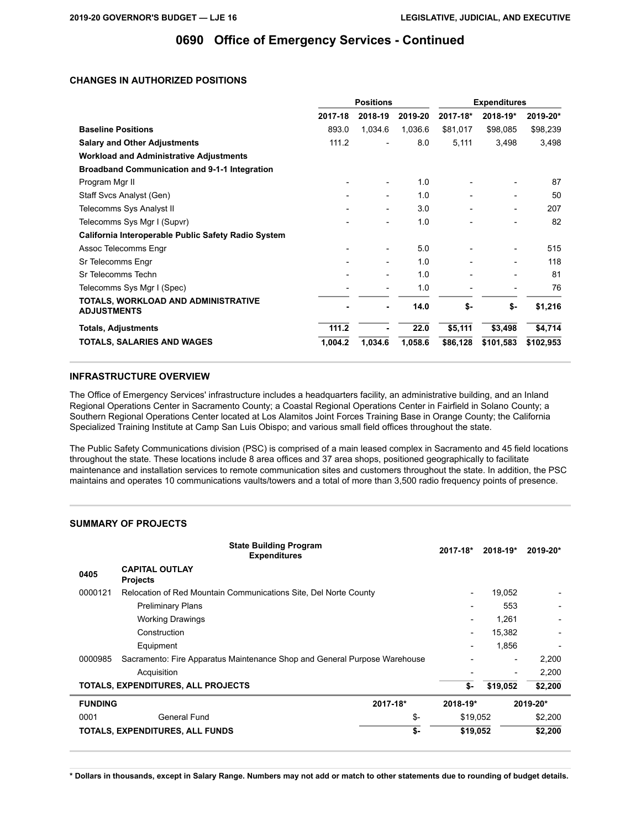### **CHANGES IN AUTHORIZED POSITIONS**

|                                                           | <b>Positions</b> |         | <b>Expenditures</b> |          |                          |           |
|-----------------------------------------------------------|------------------|---------|---------------------|----------|--------------------------|-----------|
|                                                           | 2017-18          | 2018-19 | 2019-20             | 2017-18* | 2018-19*                 | 2019-20*  |
| <b>Baseline Positions</b>                                 | 893.0            | 1,034.6 | 1,036.6             | \$81,017 | \$98,085                 | \$98,239  |
| <b>Salary and Other Adjustments</b>                       | 111.2            |         | 8.0                 | 5,111    | 3,498                    | 3,498     |
| <b>Workload and Administrative Adjustments</b>            |                  |         |                     |          |                          |           |
| <b>Broadband Communication and 9-1-1 Integration</b>      |                  |         |                     |          |                          |           |
| Program Mgr II                                            |                  |         | 1.0                 |          |                          | 87        |
| Staff Svcs Analyst (Gen)                                  |                  |         | 1.0                 |          |                          | 50        |
| Telecomms Sys Analyst II                                  |                  |         | 3.0                 |          | $\overline{\phantom{0}}$ | 207       |
| Telecomms Sys Mgr I (Supvr)                               |                  |         | 1.0                 |          |                          | 82        |
| California Interoperable Public Safety Radio System       |                  |         |                     |          |                          |           |
| Assoc Telecomms Engr                                      |                  |         | 5.0                 |          | $\overline{\phantom{0}}$ | 515       |
| Sr Telecomms Engr                                         |                  |         | 1.0                 |          |                          | 118       |
| Sr Telecomms Techn                                        |                  |         | 1.0                 |          |                          | 81        |
| Telecomms Sys Mgr I (Spec)                                |                  |         | 1.0                 |          |                          | 76        |
| TOTALS, WORKLOAD AND ADMINISTRATIVE<br><b>ADJUSTMENTS</b> |                  |         | 14.0                | \$-      | \$-                      | \$1,216   |
| <b>Totals, Adjustments</b>                                | 111.2            | ۰       | 22.0                | \$5,111  | \$3,498                  | \$4,714   |
| <b>TOTALS, SALARIES AND WAGES</b>                         | 1,004.2          | 1,034.6 | 1,058.6             | \$86,128 | \$101,583                | \$102,953 |

#### **INFRASTRUCTURE OVERVIEW**

The Office of Emergency Services' infrastructure includes a headquarters facility, an administrative building, and an Inland Regional Operations Center in Sacramento County; a Coastal Regional Operations Center in Fairfield in Solano County; a Southern Regional Operations Center located at Los Alamitos Joint Forces Training Base in Orange County; the California Specialized Training Institute at Camp San Luis Obispo; and various small field offices throughout the state.

The Public Safety Communications division (PSC) is comprised of a main leased complex in Sacramento and 45 field locations throughout the state. These locations include 8 area offices and 37 area shops, positioned geographically to facilitate maintenance and installation services to remote communication sites and customers throughout the state. In addition, the PSC maintains and operates 10 communications vaults/towers and a total of more than 3,500 radio frequency points of presence.

### **SUMMARY OF PROJECTS**

|                | <b>State Building Program</b><br><b>Expenditures</b>                      |          | 2017-18*                 | 2018-19* | 2019-20* |
|----------------|---------------------------------------------------------------------------|----------|--------------------------|----------|----------|
| 0405           | <b>CAPITAL OUTLAY</b><br><b>Projects</b>                                  |          |                          |          |          |
| 0000121        | Relocation of Red Mountain Communications Site, Del Norte County          |          | $\qquad \qquad$          | 19,052   |          |
|                | <b>Preliminary Plans</b>                                                  |          | $\qquad \qquad$          | 553      |          |
|                | <b>Working Drawings</b>                                                   |          | $\overline{\phantom{0}}$ | 1,261    |          |
|                | Construction                                                              |          | -                        | 15,382   |          |
|                | Equipment                                                                 |          | -                        | 1.856    |          |
| 0000985        | Sacramento: Fire Apparatus Maintenance Shop and General Purpose Warehouse |          |                          |          | 2,200    |
|                | Acquisition                                                               |          |                          |          | 2,200    |
|                | TOTALS, EXPENDITURES, ALL PROJECTS                                        |          | \$-                      | \$19,052 | \$2,200  |
| <b>FUNDING</b> |                                                                           | 2017-18* | 2018-19*                 |          | 2019-20* |
| 0001           | General Fund                                                              | \$-      | \$19,052                 |          | \$2,200  |
|                | TOTALS, EXPENDITURES, ALL FUNDS                                           | \$-      | \$19,052                 |          | \$2,200  |